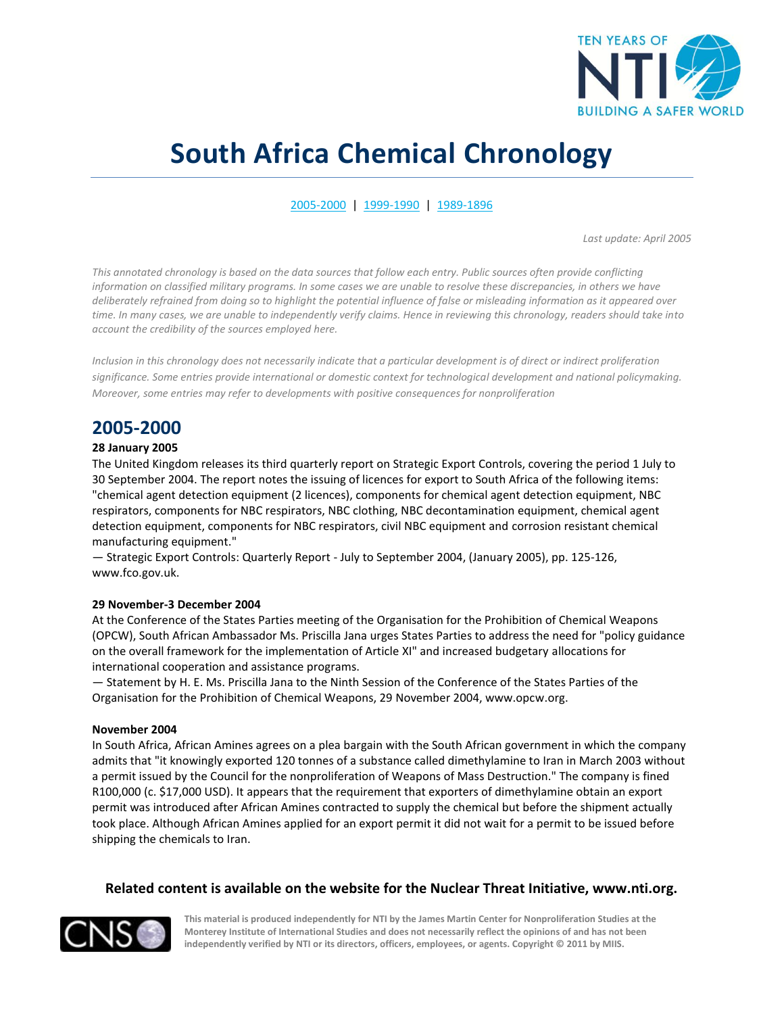

# **South Africa Chemical Chronology**

<span id="page-0-1"></span>[2005-2000](#page-0-0) | [1999-1990](#page-2-0) | [1989-1896](#page-12-0)

*Last update: April 2005*

*This annotated chronology is based on the data sources that follow each entry. Public sources often provide conflicting information on classified military programs. In some cases we are unable to resolve these discrepancies, in others we have deliberately refrained from doing so to highlight the potential influence of false or misleading information as it appeared over time. In many cases, we are unable to independently verify claims. Hence in reviewing this chronology, readers should take into account the credibility of the sources employed here.* 

*Inclusion in this chronology does not necessarily indicate that a particular development is of direct or indirect proliferation significance. Some entries provide international or domestic context for technological development and national policymaking. Moreover, some entries may refer to developments with positive consequences for nonproliferation*

# <span id="page-0-0"></span>**2005-2000**

## **28 January 2005**

The United Kingdom releases its third quarterly report on Strategic Export Controls, covering the period 1 July to 30 September 2004. The report notes the issuing of licences for export to South Africa of the following items: "chemical agent detection equipment (2 licences), components for chemical agent detection equipment, NBC respirators, components for NBC respirators, NBC clothing, NBC decontamination equipment, chemical agent detection equipment, components for NBC respirators, civil NBC equipment and corrosion resistant chemical manufacturing equipment."

— Strategic Export Controls: Quarterly Report - July to September 2004, (January 2005), pp. 125-126, www.fco.gov.uk.

#### **29 November-3 December 2004**

At the Conference of the States Parties meeting of the Organisation for the Prohibition of Chemical Weapons (OPCW), South African Ambassador Ms. Priscilla Jana urges States Parties to address the need for "policy guidance on the overall framework for the implementation of Article XI" and increased budgetary allocations for international cooperation and assistance programs.

— Statement by H. E. Ms. Priscilla Jana to the Ninth Session of the Conference of the States Parties of the Organisation for the Prohibition of Chemical Weapons, 29 November 2004, www.opcw.org.

#### **November 2004**

In South Africa, African Amines agrees on a plea bargain with the South African government in which the company admits that "it knowingly exported 120 tonnes of a substance called dimethylamine to Iran in March 2003 without a permit issued by the Council for the nonproliferation of Weapons of Mass Destruction." The company is fined R100,000 (c. \$17,000 USD). It appears that the requirement that exporters of dimethylamine obtain an export permit was introduced after African Amines contracted to supply the chemical but before the shipment actually took place. Although African Amines applied for an export permit it did not wait for a permit to be issued before shipping the chemicals to Iran.

## **Related content is available on the website for the Nuclear Threat Initiative, www.nti.org.**

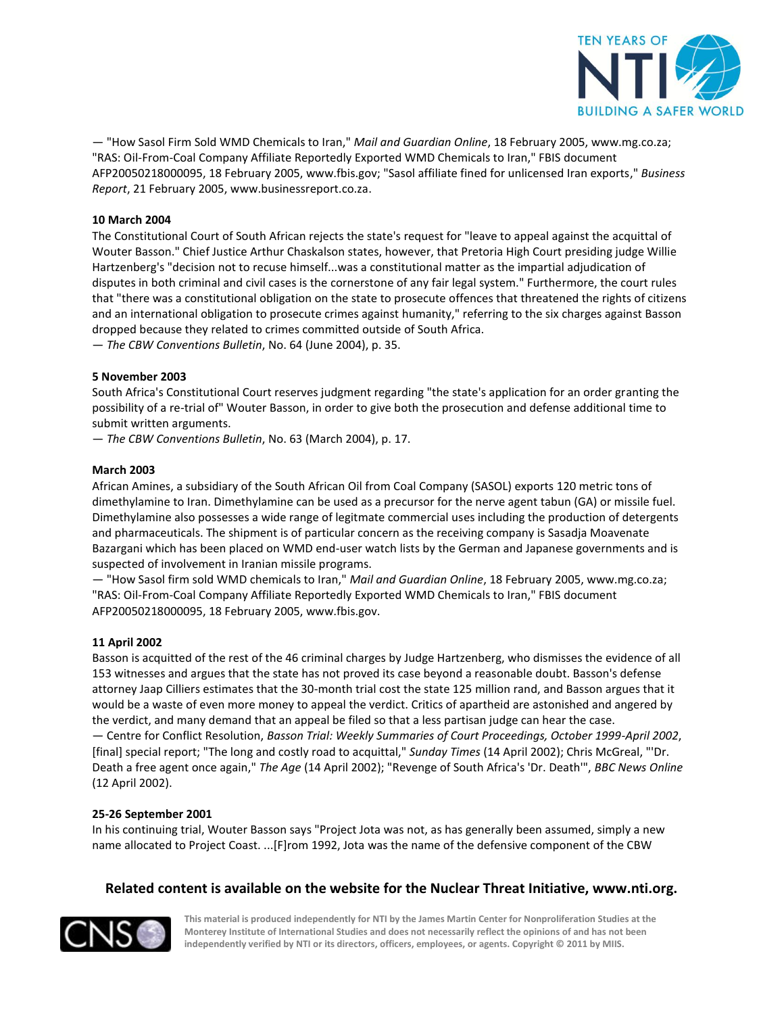

— "How Sasol Firm Sold WMD Chemicals to Iran," *Mail and Guardian Online*, 18 February 2005, www.mg.co.za; "RAS: Oil-From-Coal Company Affiliate Reportedly Exported WMD Chemicals to Iran," FBIS document AFP20050218000095, 18 February 2005, www.fbis.gov; "Sasol affiliate fined for unlicensed Iran exports," *Business Report*, 21 February 2005, www.businessreport.co.za.

## **10 March 2004**

The Constitutional Court of South African rejects the state's request for "leave to appeal against the acquittal of Wouter Basson." Chief Justice Arthur Chaskalson states, however, that Pretoria High Court presiding judge Willie Hartzenberg's "decision not to recuse himself...was a constitutional matter as the impartial adjudication of disputes in both criminal and civil cases is the cornerstone of any fair legal system." Furthermore, the court rules that "there was a constitutional obligation on the state to prosecute offences that threatened the rights of citizens and an international obligation to prosecute crimes against humanity," referring to the six charges against Basson dropped because they related to crimes committed outside of South Africa.

— *The CBW Conventions Bulletin*, No. 64 (June 2004), p. 35.

#### **5 November 2003**

South Africa's Constitutional Court reserves judgment regarding "the state's application for an order granting the possibility of a re-trial of" Wouter Basson, in order to give both the prosecution and defense additional time to submit written arguments.

— *The CBW Conventions Bulletin*, No. 63 (March 2004), p. 17.

#### **March 2003**

African Amines, a subsidiary of the South African Oil from Coal Company (SASOL) exports 120 metric tons of dimethylamine to Iran. Dimethylamine can be used as a precursor for the nerve agent tabun (GA) or missile fuel. Dimethylamine also possesses a wide range of legitmate commercial uses including the production of detergents and pharmaceuticals. The shipment is of particular concern as the receiving company is Sasadja Moavenate Bazargani which has been placed on WMD end-user watch lists by the German and Japanese governments and is suspected of involvement in Iranian missile programs.

— "How Sasol firm sold WMD chemicals to Iran," *Mail and Guardian Online*, 18 February 2005, www.mg.co.za; "RAS: Oil-From-Coal Company Affiliate Reportedly Exported WMD Chemicals to Iran," FBIS document AFP20050218000095, 18 February 2005, www.fbis.gov.

#### **11 April 2002**

Basson is acquitted of the rest of the 46 criminal charges by Judge Hartzenberg, who dismisses the evidence of all 153 witnesses and argues that the state has not proved its case beyond a reasonable doubt. Basson's defense attorney Jaap Cilliers estimates that the 30-month trial cost the state 125 million rand, and Basson argues that it would be a waste of even more money to appeal the verdict. Critics of apartheid are astonished and angered by the verdict, and many demand that an appeal be filed so that a less partisan judge can hear the case. — Centre for Conflict Resolution, *Basson Trial: Weekly Summaries of Court Proceedings, October 1999-April 2002*, [final] special report; "The long and costly road to acquittal," *Sunday Times* (14 April 2002); Chris McGreal, "'Dr. Death a free agent once again," *The Age* (14 April 2002); "Revenge of South Africa's 'Dr. Death'", *BBC News Online* (12 April 2002).

#### **25-26 September 2001**

In his continuing trial, Wouter Basson says "Project Jota was not, as has generally been assumed, simply a new name allocated to Project Coast. ...[F]rom 1992, Jota was the name of the defensive component of the CBW

## **Related content is available on the website for the Nuclear Threat Initiative, www.nti.org.**

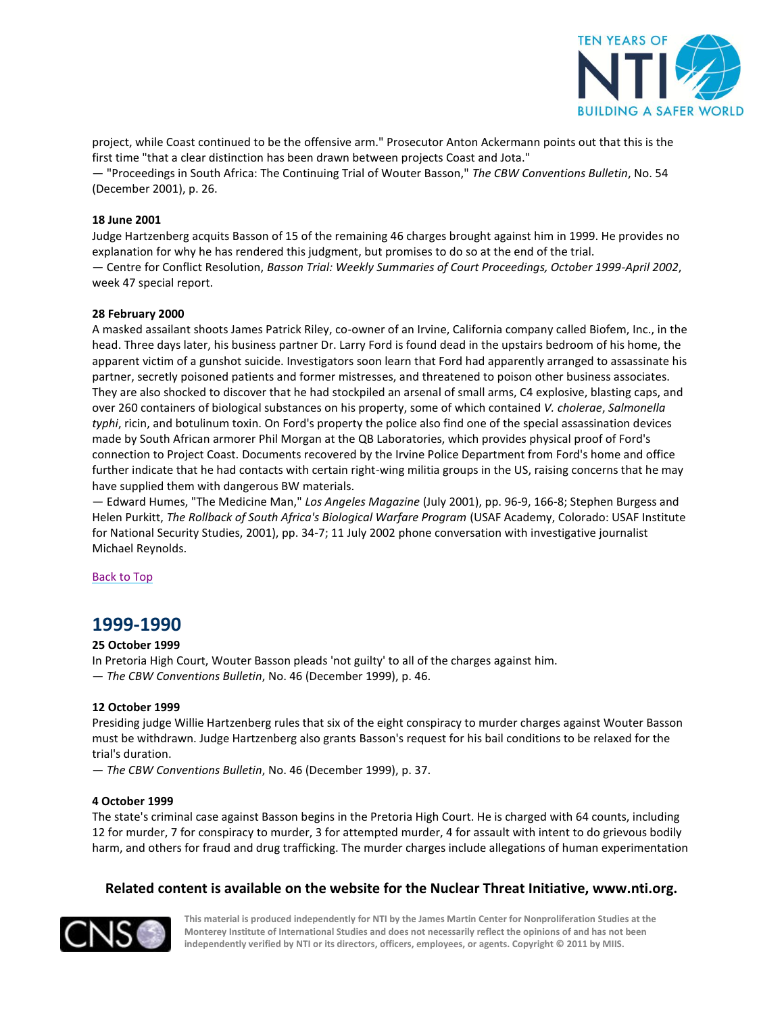

project, while Coast continued to be the offensive arm." Prosecutor Anton Ackermann points out that this is the first time "that a clear distinction has been drawn between projects Coast and Jota."

— "Proceedings in South Africa: The Continuing Trial of Wouter Basson," *The CBW Conventions Bulletin*, No. 54 (December 2001), p. 26.

## **18 June 2001**

Judge Hartzenberg acquits Basson of 15 of the remaining 46 charges brought against him in 1999. He provides no explanation for why he has rendered this judgment, but promises to do so at the end of the trial. — Centre for Conflict Resolution, *Basson Trial: Weekly Summaries of Court Proceedings, October 1999-April 2002*, week 47 special report.

#### **28 February 2000**

A masked assailant shoots James Patrick Riley, co-owner of an Irvine, California company called Biofem, Inc., in the head. Three days later, his business partner Dr. Larry Ford is found dead in the upstairs bedroom of his home, the apparent victim of a gunshot suicide. Investigators soon learn that Ford had apparently arranged to assassinate his partner, secretly poisoned patients and former mistresses, and threatened to poison other business associates. They are also shocked to discover that he had stockpiled an arsenal of small arms, C4 explosive, blasting caps, and over 260 containers of biological substances on his property, some of which contained *V. cholerae*, *Salmonella typhi*, ricin, and botulinum toxin. On Ford's property the police also find one of the special assassination devices made by South African armorer Phil Morgan at the QB Laboratories, which provides physical proof of Ford's connection to Project Coast. Documents recovered by the Irvine Police Department from Ford's home and office further indicate that he had contacts with certain right-wing militia groups in the US, raising concerns that he may have supplied them with dangerous BW materials.

— Edward Humes, "The Medicine Man," *Los Angeles Magazine* (July 2001), pp. 96-9, 166-8; Stephen Burgess and Helen Purkitt, *The Rollback of South Africa's Biological Warfare Program* (USAF Academy, Colorado: USAF Institute for National Security Studies, 2001), pp. 34-7; 11 July 2002 phone conversation with investigative journalist Michael Reynolds.

#### <span id="page-2-0"></span>[Back to](#page-0-1) Top

## **1999-1990**

#### **25 October 1999**

In Pretoria High Court, Wouter Basson pleads 'not guilty' to all of the charges against him.

— *The CBW Conventions Bulletin*, No. 46 (December 1999), p. 46.

#### **12 October 1999**

Presiding judge Willie Hartzenberg rules that six of the eight conspiracy to murder charges against Wouter Basson must be withdrawn. Judge Hartzenberg also grants Basson's request for his bail conditions to be relaxed for the trial's duration.

— *The CBW Conventions Bulletin*, No. 46 (December 1999), p. 37.

#### **4 October 1999**

The state's criminal case against Basson begins in the Pretoria High Court. He is charged with 64 counts, including 12 for murder, 7 for conspiracy to murder, 3 for attempted murder, 4 for assault with intent to do grievous bodily harm, and others for fraud and drug trafficking. The murder charges include allegations of human experimentation

## **Related content is available on the website for the Nuclear Threat Initiative, www.nti.org.**

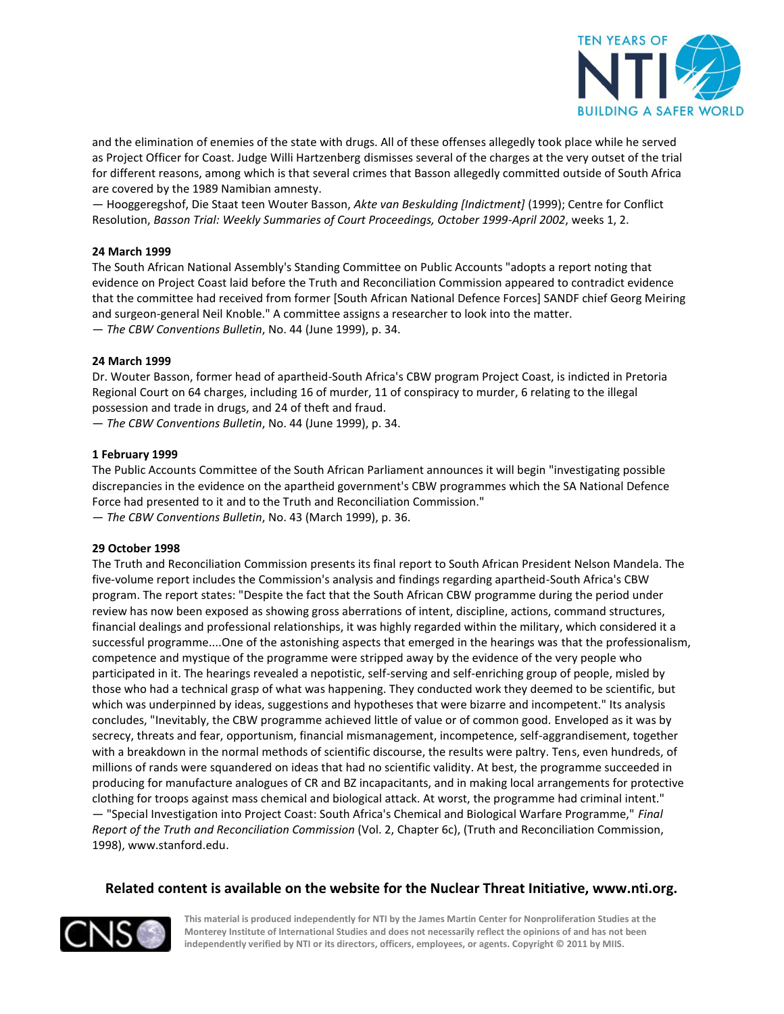

and the elimination of enemies of the state with drugs. All of these offenses allegedly took place while he served as Project Officer for Coast. Judge Willi Hartzenberg dismisses several of the charges at the very outset of the trial for different reasons, among which is that several crimes that Basson allegedly committed outside of South Africa are covered by the 1989 Namibian amnesty.

— Hooggeregshof, Die Staat teen Wouter Basson, *Akte van Beskulding [Indictment]* (1999); Centre for Conflict Resolution, *Basson Trial: Weekly Summaries of Court Proceedings, October 1999-April 2002*, weeks 1, 2.

## **24 March 1999**

The South African National Assembly's Standing Committee on Public Accounts "adopts a report noting that evidence on Project Coast laid before the Truth and Reconciliation Commission appeared to contradict evidence that the committee had received from former [South African National Defence Forces] SANDF chief Georg Meiring and surgeon-general Neil Knoble." A committee assigns a researcher to look into the matter. — *The CBW Conventions Bulletin*, No. 44 (June 1999), p. 34.

#### **24 March 1999**

Dr. Wouter Basson, former head of apartheid-South Africa's CBW program Project Coast, is indicted in Pretoria Regional Court on 64 charges, including 16 of murder, 11 of conspiracy to murder, 6 relating to the illegal possession and trade in drugs, and 24 of theft and fraud.

— *The CBW Conventions Bulletin*, No. 44 (June 1999), p. 34.

#### **1 February 1999**

The Public Accounts Committee of the South African Parliament announces it will begin "investigating possible discrepancies in the evidence on the apartheid government's CBW programmes which the SA National Defence Force had presented to it and to the Truth and Reconciliation Commission."

— *The CBW Conventions Bulletin*, No. 43 (March 1999), p. 36.

#### **29 October 1998**

The Truth and Reconciliation Commission presents its final report to South African President Nelson Mandela. The five-volume report includes the Commission's analysis and findings regarding apartheid-South Africa's CBW program. The report states: "Despite the fact that the South African CBW programme during the period under review has now been exposed as showing gross aberrations of intent, discipline, actions, command structures, financial dealings and professional relationships, it was highly regarded within the military, which considered it a successful programme....One of the astonishing aspects that emerged in the hearings was that the professionalism, competence and mystique of the programme were stripped away by the evidence of the very people who participated in it. The hearings revealed a nepotistic, self-serving and self-enriching group of people, misled by those who had a technical grasp of what was happening. They conducted work they deemed to be scientific, but which was underpinned by ideas, suggestions and hypotheses that were bizarre and incompetent." Its analysis concludes, "Inevitably, the CBW programme achieved little of value or of common good. Enveloped as it was by secrecy, threats and fear, opportunism, financial mismanagement, incompetence, self-aggrandisement, together with a breakdown in the normal methods of scientific discourse, the results were paltry. Tens, even hundreds, of millions of rands were squandered on ideas that had no scientific validity. At best, the programme succeeded in producing for manufacture analogues of CR and BZ incapacitants, and in making local arrangements for protective clothing for troops against mass chemical and biological attack. At worst, the programme had criminal intent." — "Special Investigation into Project Coast: South Africa's Chemical and Biological Warfare Programme," *Final Report of the Truth and Reconciliation Commission* (Vol. 2, Chapter 6c), (Truth and Reconciliation Commission, 1998), www.stanford.edu.

## **Related content is available on the website for the Nuclear Threat Initiative, www.nti.org.**

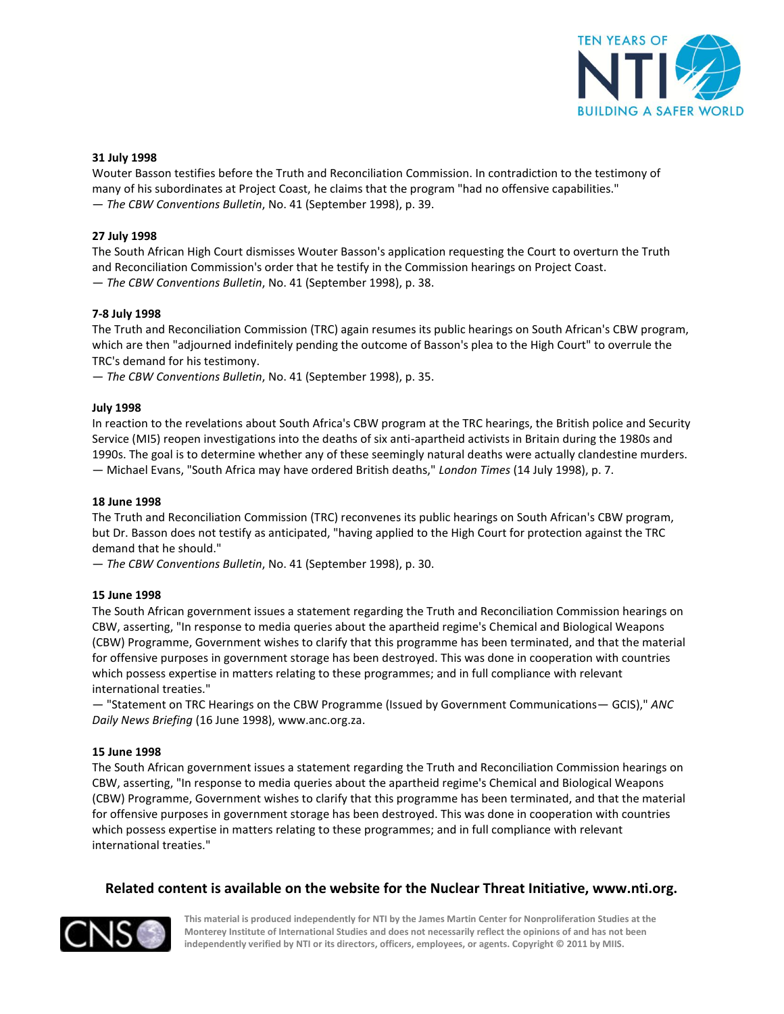

#### **31 July 1998**

Wouter Basson testifies before the Truth and Reconciliation Commission. In contradiction to the testimony of many of his subordinates at Project Coast, he claims that the program "had no offensive capabilities." — *The CBW Conventions Bulletin*, No. 41 (September 1998), p. 39.

#### **27 July 1998**

The South African High Court dismisses Wouter Basson's application requesting the Court to overturn the Truth and Reconciliation Commission's order that he testify in the Commission hearings on Project Coast. — *The CBW Conventions Bulletin*, No. 41 (September 1998), p. 38.

#### **7-8 July 1998**

The Truth and Reconciliation Commission (TRC) again resumes its public hearings on South African's CBW program, which are then "adjourned indefinitely pending the outcome of Basson's plea to the High Court" to overrule the TRC's demand for his testimony.

— *The CBW Conventions Bulletin*, No. 41 (September 1998), p. 35.

#### **July 1998**

In reaction to the revelations about South Africa's CBW program at the TRC hearings, the British police and Security Service (MI5) reopen investigations into the deaths of six anti-apartheid activists in Britain during the 1980s and 1990s. The goal is to determine whether any of these seemingly natural deaths were actually clandestine murders. — Michael Evans, "South Africa may have ordered British deaths," *London Times* (14 July 1998), p. 7.

#### **18 June 1998**

The Truth and Reconciliation Commission (TRC) reconvenes its public hearings on South African's CBW program, but Dr. Basson does not testify as anticipated, "having applied to the High Court for protection against the TRC demand that he should."

— *The CBW Conventions Bulletin*, No. 41 (September 1998), p. 30.

#### **15 June 1998**

The South African government issues a statement regarding the Truth and Reconciliation Commission hearings on CBW, asserting, "In response to media queries about the apartheid regime's Chemical and Biological Weapons (CBW) Programme, Government wishes to clarify that this programme has been terminated, and that the material for offensive purposes in government storage has been destroyed. This was done in cooperation with countries which possess expertise in matters relating to these programmes; and in full compliance with relevant international treaties."

— "Statement on TRC Hearings on the CBW Programme (Issued by Government Communications— GCIS)," *ANC Daily News Briefing* (16 June 1998), www.anc.org.za.

## **15 June 1998**

The South African government issues a statement regarding the Truth and Reconciliation Commission hearings on CBW, asserting, "In response to media queries about the apartheid regime's Chemical and Biological Weapons (CBW) Programme, Government wishes to clarify that this programme has been terminated, and that the material for offensive purposes in government storage has been destroyed. This was done in cooperation with countries which possess expertise in matters relating to these programmes; and in full compliance with relevant international treaties."

## **Related content is available on the website for the Nuclear Threat Initiative, www.nti.org.**

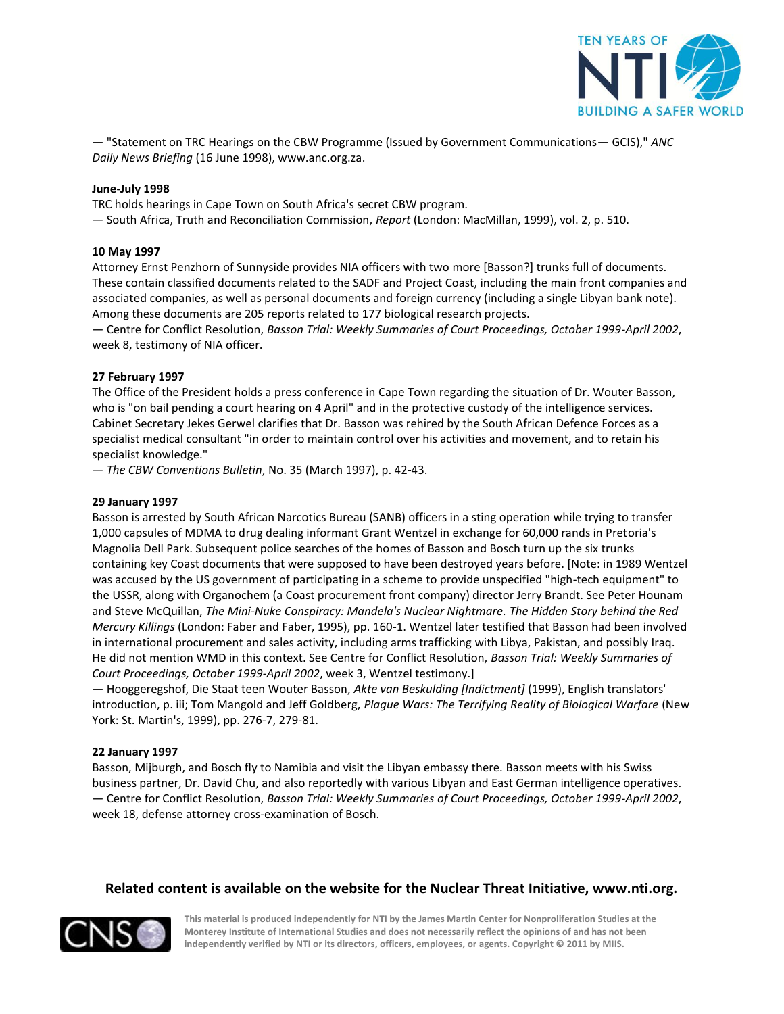

— "Statement on TRC Hearings on the CBW Programme (Issued by Government Communications— GCIS)," *ANC Daily News Briefing* (16 June 1998), www.anc.org.za.

#### **June-July 1998**

TRC holds hearings in Cape Town on South Africa's secret CBW program.

— South Africa, Truth and Reconciliation Commission, *Report* (London: MacMillan, 1999), vol. 2, p. 510.

#### **10 May 1997**

Attorney Ernst Penzhorn of Sunnyside provides NIA officers with two more [Basson?] trunks full of documents. These contain classified documents related to the SADF and Project Coast, including the main front companies and associated companies, as well as personal documents and foreign currency (including a single Libyan bank note). Among these documents are 205 reports related to 177 biological research projects.

— Centre for Conflict Resolution, *Basson Trial: Weekly Summaries of Court Proceedings, October 1999-April 2002*, week 8, testimony of NIA officer.

#### **27 February 1997**

The Office of the President holds a press conference in Cape Town regarding the situation of Dr. Wouter Basson, who is "on bail pending a court hearing on 4 April" and in the protective custody of the intelligence services. Cabinet Secretary Jekes Gerwel clarifies that Dr. Basson was rehired by the South African Defence Forces as a specialist medical consultant "in order to maintain control over his activities and movement, and to retain his specialist knowledge."

— *The CBW Conventions Bulletin*, No. 35 (March 1997), p. 42-43.

#### **29 January 1997**

Basson is arrested by South African Narcotics Bureau (SANB) officers in a sting operation while trying to transfer 1,000 capsules of MDMA to drug dealing informant Grant Wentzel in exchange for 60,000 rands in Pretoria's Magnolia Dell Park. Subsequent police searches of the homes of Basson and Bosch turn up the six trunks containing key Coast documents that were supposed to have been destroyed years before. [Note: in 1989 Wentzel was accused by the US government of participating in a scheme to provide unspecified "high-tech equipment" to the USSR, along with Organochem (a Coast procurement front company) director Jerry Brandt. See Peter Hounam and Steve McQuillan, *The Mini-Nuke Conspiracy: Mandela's Nuclear Nightmare. The Hidden Story behind the Red Mercury Killings* (London: Faber and Faber, 1995), pp. 160-1. Wentzel later testified that Basson had been involved in international procurement and sales activity, including arms trafficking with Libya, Pakistan, and possibly Iraq. He did not mention WMD in this context. See Centre for Conflict Resolution, *Basson Trial: Weekly Summaries of Court Proceedings, October 1999-April 2002*, week 3, Wentzel testimony.]

— Hooggeregshof, Die Staat teen Wouter Basson, *Akte van Beskulding [Indictment]* (1999), English translators' introduction, p. iii; Tom Mangold and Jeff Goldberg, *Plague Wars: The Terrifying Reality of Biological Warfare* (New York: St. Martin's, 1999), pp. 276-7, 279-81.

#### **22 January 1997**

Basson, Mijburgh, and Bosch fly to Namibia and visit the Libyan embassy there. Basson meets with his Swiss business partner, Dr. David Chu, and also reportedly with various Libyan and East German intelligence operatives. — Centre for Conflict Resolution, *Basson Trial: Weekly Summaries of Court Proceedings, October 1999-April 2002*, week 18, defense attorney cross-examination of Bosch.

## **Related content is available on the website for the Nuclear Threat Initiative, www.nti.org.**

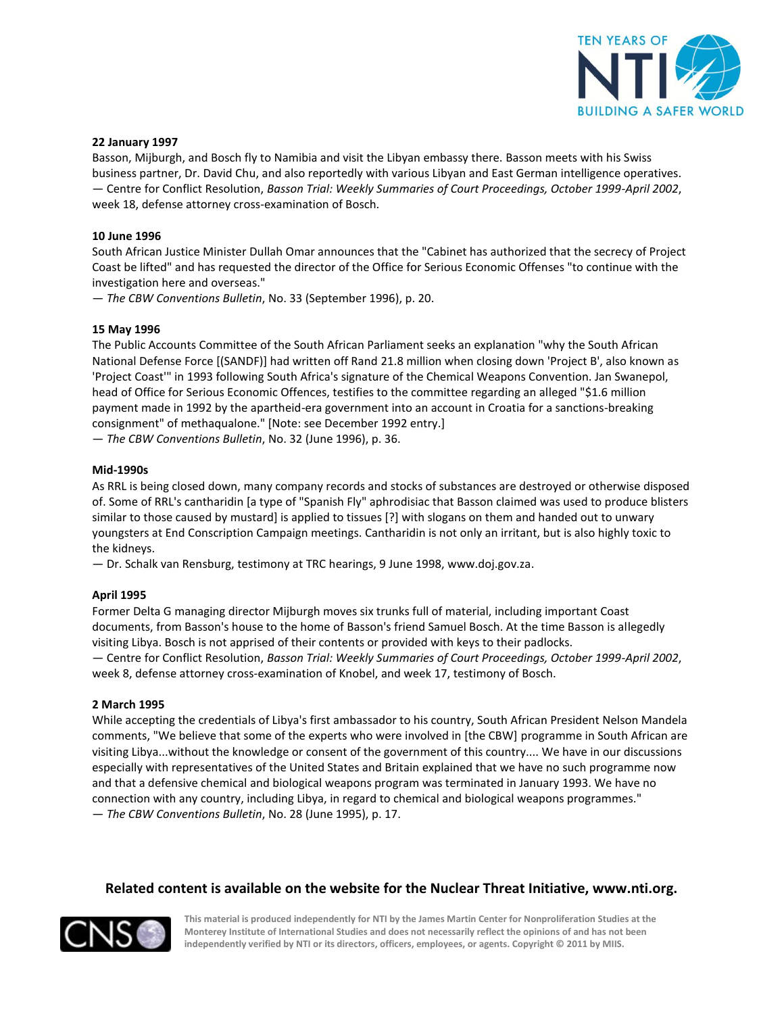

#### **22 January 1997**

Basson, Mijburgh, and Bosch fly to Namibia and visit the Libyan embassy there. Basson meets with his Swiss business partner, Dr. David Chu, and also reportedly with various Libyan and East German intelligence operatives. — Centre for Conflict Resolution, *Basson Trial: Weekly Summaries of Court Proceedings, October 1999-April 2002*, week 18, defense attorney cross-examination of Bosch.

#### **10 June 1996**

South African Justice Minister Dullah Omar announces that the "Cabinet has authorized that the secrecy of Project Coast be lifted" and has requested the director of the Office for Serious Economic Offenses "to continue with the investigation here and overseas."

— *The CBW Conventions Bulletin*, No. 33 (September 1996), p. 20.

#### **15 May 1996**

The Public Accounts Committee of the South African Parliament seeks an explanation "why the South African National Defense Force [(SANDF)] had written off Rand 21.8 million when closing down 'Project B', also known as 'Project Coast'" in 1993 following South Africa's signature of the Chemical Weapons Convention. Jan Swanepol, head of Office for Serious Economic Offences, testifies to the committee regarding an alleged "\$1.6 million payment made in 1992 by the apartheid-era government into an account in Croatia for a sanctions-breaking consignment" of methaqualone." [Note: see December 1992 entry.]

— *The CBW Conventions Bulletin*, No. 32 (June 1996), p. 36.

#### **Mid-1990s**

As RRL is being closed down, many company records and stocks of substances are destroyed or otherwise disposed of. Some of RRL's cantharidin [a type of "Spanish Fly" aphrodisiac that Basson claimed was used to produce blisters similar to those caused by mustard] is applied to tissues [?] with slogans on them and handed out to unwary youngsters at End Conscription Campaign meetings. Cantharidin is not only an irritant, but is also highly toxic to the kidneys.

— Dr. Schalk van Rensburg, testimony at TRC hearings, 9 June 1998, www.doj.gov.za.

#### **April 1995**

Former Delta G managing director Mijburgh moves six trunks full of material, including important Coast documents, from Basson's house to the home of Basson's friend Samuel Bosch. At the time Basson is allegedly visiting Libya. Bosch is not apprised of their contents or provided with keys to their padlocks. — Centre for Conflict Resolution, *Basson Trial: Weekly Summaries of Court Proceedings, October 1999-April 2002*, week 8, defense attorney cross-examination of Knobel, and week 17, testimony of Bosch.

#### **2 March 1995**

While accepting the credentials of Libya's first ambassador to his country, South African President Nelson Mandela comments, "We believe that some of the experts who were involved in [the CBW] programme in South African are visiting Libya...without the knowledge or consent of the government of this country.... We have in our discussions especially with representatives of the United States and Britain explained that we have no such programme now and that a defensive chemical and biological weapons program was terminated in January 1993. We have no connection with any country, including Libya, in regard to chemical and biological weapons programmes." — *The CBW Conventions Bulletin*, No. 28 (June 1995), p. 17.

## **Related content is available on the website for the Nuclear Threat Initiative, www.nti.org.**

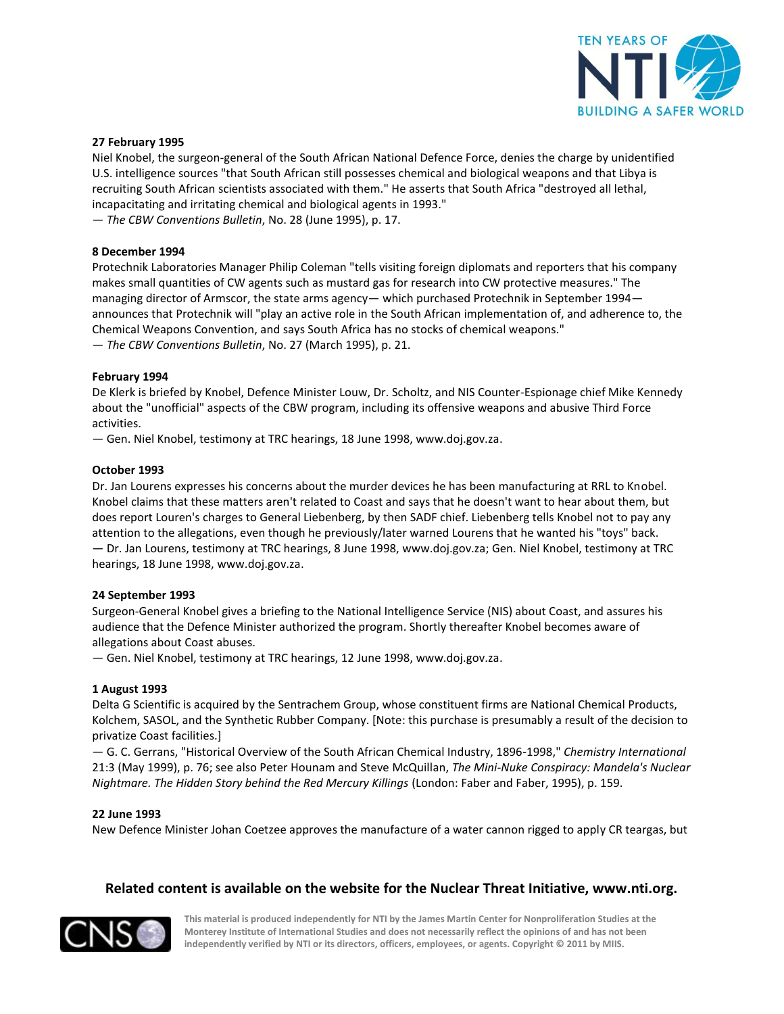

#### **27 February 1995**

Niel Knobel, the surgeon-general of the South African National Defence Force, denies the charge by unidentified U.S. intelligence sources "that South African still possesses chemical and biological weapons and that Libya is recruiting South African scientists associated with them." He asserts that South Africa "destroyed all lethal, incapacitating and irritating chemical and biological agents in 1993."

— *The CBW Conventions Bulletin*, No. 28 (June 1995), p. 17.

#### **8 December 1994**

Protechnik Laboratories Manager Philip Coleman "tells visiting foreign diplomats and reporters that his company makes small quantities of CW agents such as mustard gas for research into CW protective measures." The managing director of Armscor, the state arms agency— which purchased Protechnik in September 1994 announces that Protechnik will "play an active role in the South African implementation of, and adherence to, the Chemical Weapons Convention, and says South Africa has no stocks of chemical weapons." — *The CBW Conventions Bulletin*, No. 27 (March 1995), p. 21.

#### **February 1994**

De Klerk is briefed by Knobel, Defence Minister Louw, Dr. Scholtz, and NIS Counter-Espionage chief Mike Kennedy about the "unofficial" aspects of the CBW program, including its offensive weapons and abusive Third Force activities.

— Gen. Niel Knobel, testimony at TRC hearings, 18 June 1998, www.doj.gov.za.

#### **October 1993**

Dr. Jan Lourens expresses his concerns about the murder devices he has been manufacturing at RRL to Knobel. Knobel claims that these matters aren't related to Coast and says that he doesn't want to hear about them, but does report Louren's charges to General Liebenberg, by then SADF chief. Liebenberg tells Knobel not to pay any attention to the allegations, even though he previously/later warned Lourens that he wanted his "toys" back. — Dr. Jan Lourens, testimony at TRC hearings, 8 June 1998, www.doj.gov.za; Gen. Niel Knobel, testimony at TRC hearings, 18 June 1998, www.doj.gov.za.

#### **24 September 1993**

Surgeon-General Knobel gives a briefing to the National Intelligence Service (NIS) about Coast, and assures his audience that the Defence Minister authorized the program. Shortly thereafter Knobel becomes aware of allegations about Coast abuses.

— Gen. Niel Knobel, testimony at TRC hearings, 12 June 1998, www.doj.gov.za.

#### **1 August 1993**

Delta G Scientific is acquired by the Sentrachem Group, whose constituent firms are National Chemical Products, Kolchem, SASOL, and the Synthetic Rubber Company. [Note: this purchase is presumably a result of the decision to privatize Coast facilities.]

— G. C. Gerrans, "Historical Overview of the South African Chemical Industry, 1896-1998," *Chemistry International* 21:3 (May 1999), p. 76; see also Peter Hounam and Steve McQuillan, *The Mini-Nuke Conspiracy: Mandela's Nuclear Nightmare. The Hidden Story behind the Red Mercury Killings* (London: Faber and Faber, 1995), p. 159.

#### **22 June 1993**

New Defence Minister Johan Coetzee approves the manufacture of a water cannon rigged to apply CR teargas, but

## **Related content is available on the website for the Nuclear Threat Initiative, www.nti.org.**

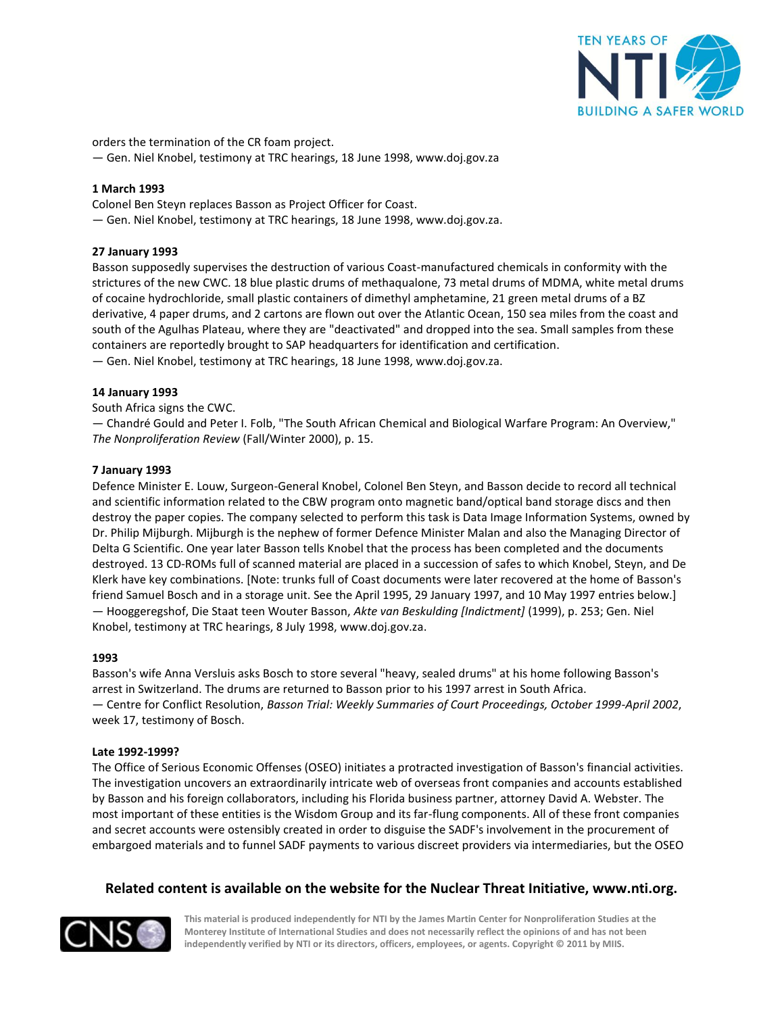

orders the termination of the CR foam project.

— Gen. Niel Knobel, testimony at TRC hearings, 18 June 1998, www.doj.gov.za

## **1 March 1993**

Colonel Ben Steyn replaces Basson as Project Officer for Coast.

— Gen. Niel Knobel, testimony at TRC hearings, 18 June 1998, www.doj.gov.za.

## **27 January 1993**

Basson supposedly supervises the destruction of various Coast-manufactured chemicals in conformity with the strictures of the new CWC. 18 blue plastic drums of methaqualone, 73 metal drums of MDMA, white metal drums of cocaine hydrochloride, small plastic containers of dimethyl amphetamine, 21 green metal drums of a BZ derivative, 4 paper drums, and 2 cartons are flown out over the Atlantic Ocean, 150 sea miles from the coast and south of the Agulhas Plateau, where they are "deactivated" and dropped into the sea. Small samples from these containers are reportedly brought to SAP headquarters for identification and certification. — Gen. Niel Knobel, testimony at TRC hearings, 18 June 1998, www.doj.gov.za.

#### **14 January 1993**

South Africa signs the CWC.

— Chandré Gould and Peter I. Folb, "The South African Chemical and Biological Warfare Program: An Overview," *The Nonproliferation Review* (Fall/Winter 2000), p. 15.

#### **7 January 1993**

Defence Minister E. Louw, Surgeon-General Knobel, Colonel Ben Steyn, and Basson decide to record all technical and scientific information related to the CBW program onto magnetic band/optical band storage discs and then destroy the paper copies. The company selected to perform this task is Data Image Information Systems, owned by Dr. Philip Mijburgh. Mijburgh is the nephew of former Defence Minister Malan and also the Managing Director of Delta G Scientific. One year later Basson tells Knobel that the process has been completed and the documents destroyed. 13 CD-ROMs full of scanned material are placed in a succession of safes to which Knobel, Steyn, and De Klerk have key combinations. [Note: trunks full of Coast documents were later recovered at the home of Basson's friend Samuel Bosch and in a storage unit. See the April 1995, 29 January 1997, and 10 May 1997 entries below.] — Hooggeregshof, Die Staat teen Wouter Basson, *Akte van Beskulding [Indictment]* (1999), p. 253; Gen. Niel Knobel, testimony at TRC hearings, 8 July 1998, www.doj.gov.za.

#### **1993**

Basson's wife Anna Versluis asks Bosch to store several "heavy, sealed drums" at his home following Basson's arrest in Switzerland. The drums are returned to Basson prior to his 1997 arrest in South Africa. — Centre for Conflict Resolution, *Basson Trial: Weekly Summaries of Court Proceedings, October 1999-April 2002*, week 17, testimony of Bosch.

#### **Late 1992-1999?**

The Office of Serious Economic Offenses (OSEO) initiates a protracted investigation of Basson's financial activities. The investigation uncovers an extraordinarily intricate web of overseas front companies and accounts established by Basson and his foreign collaborators, including his Florida business partner, attorney David A. Webster. The most important of these entities is the Wisdom Group and its far-flung components. All of these front companies and secret accounts were ostensibly created in order to disguise the SADF's involvement in the procurement of embargoed materials and to funnel SADF payments to various discreet providers via intermediaries, but the OSEO

## **Related content is available on the website for the Nuclear Threat Initiative, www.nti.org.**

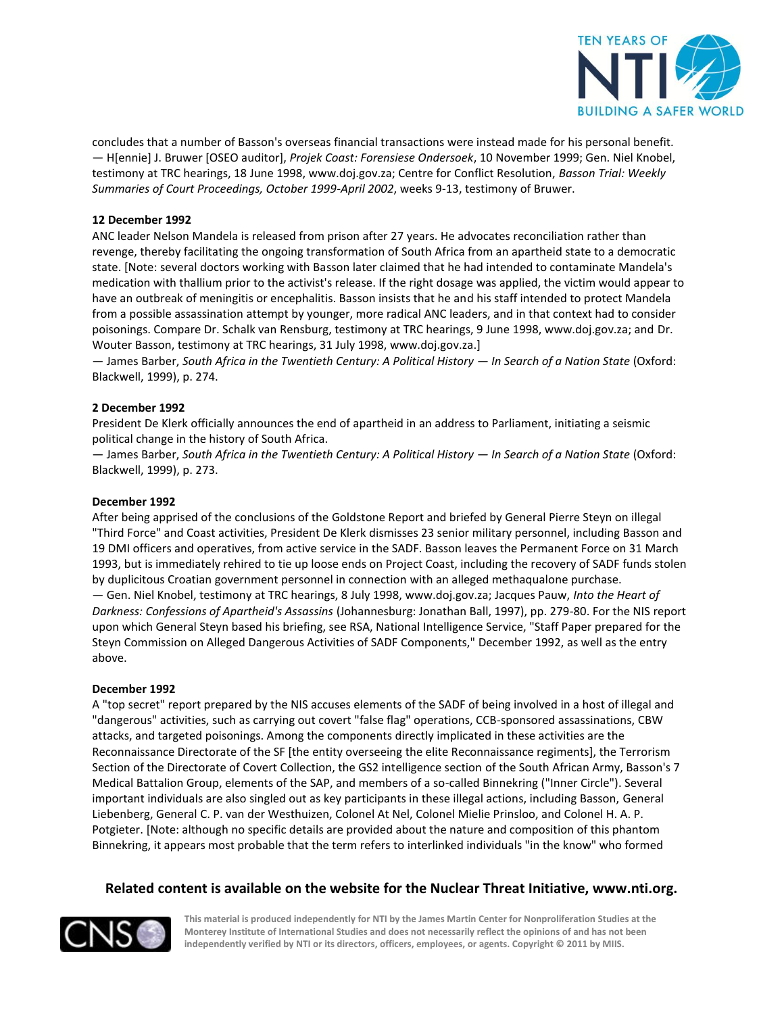

concludes that a number of Basson's overseas financial transactions were instead made for his personal benefit. — H[ennie] J. Bruwer [OSEO auditor], *Projek Coast: Forensiese Ondersoek*, 10 November 1999; Gen. Niel Knobel, testimony at TRC hearings, 18 June 1998, www.doj.gov.za; Centre for Conflict Resolution, *Basson Trial: Weekly Summaries of Court Proceedings, October 1999-April 2002*, weeks 9-13, testimony of Bruwer.

## **12 December 1992**

ANC leader Nelson Mandela is released from prison after 27 years. He advocates reconciliation rather than revenge, thereby facilitating the ongoing transformation of South Africa from an apartheid state to a democratic state. [Note: several doctors working with Basson later claimed that he had intended to contaminate Mandela's medication with thallium prior to the activist's release. If the right dosage was applied, the victim would appear to have an outbreak of meningitis or encephalitis. Basson insists that he and his staff intended to protect Mandela from a possible assassination attempt by younger, more radical ANC leaders, and in that context had to consider poisonings. Compare Dr. Schalk van Rensburg, testimony at TRC hearings, 9 June 1998, www.doj.gov.za; and Dr. Wouter Basson, testimony at TRC hearings, 31 July 1998, www.doj.gov.za.]

— James Barber, *South Africa in the Twentieth Century: A Political History — In Search of a Nation State* (Oxford: Blackwell, 1999), p. 274.

#### **2 December 1992**

President De Klerk officially announces the end of apartheid in an address to Parliament, initiating a seismic political change in the history of South Africa.

— James Barber, *South Africa in the Twentieth Century: A Political History — In Search of a Nation State* (Oxford: Blackwell, 1999), p. 273.

#### **December 1992**

After being apprised of the conclusions of the Goldstone Report and briefed by General Pierre Steyn on illegal "Third Force" and Coast activities, President De Klerk dismisses 23 senior military personnel, including Basson and 19 DMI officers and operatives, from active service in the SADF. Basson leaves the Permanent Force on 31 March 1993, but is immediately rehired to tie up loose ends on Project Coast, including the recovery of SADF funds stolen by duplicitous Croatian government personnel in connection with an alleged methaqualone purchase. — Gen. Niel Knobel, testimony at TRC hearings, 8 July 1998, www.doj.gov.za; Jacques Pauw, *Into the Heart of Darkness: Confessions of Apartheid's Assassins* (Johannesburg: Jonathan Ball, 1997), pp. 279-80. For the NIS report upon which General Steyn based his briefing, see RSA, National Intelligence Service, "Staff Paper prepared for the Steyn Commission on Alleged Dangerous Activities of SADF Components," December 1992, as well as the entry above.

#### **December 1992**

A "top secret" report prepared by the NIS accuses elements of the SADF of being involved in a host of illegal and "dangerous" activities, such as carrying out covert "false flag" operations, CCB-sponsored assassinations, CBW attacks, and targeted poisonings. Among the components directly implicated in these activities are the Reconnaissance Directorate of the SF [the entity overseeing the elite Reconnaissance regiments], the Terrorism Section of the Directorate of Covert Collection, the GS2 intelligence section of the South African Army, Basson's 7 Medical Battalion Group, elements of the SAP, and members of a so-called Binnekring ("Inner Circle"). Several important individuals are also singled out as key participants in these illegal actions, including Basson, General Liebenberg, General C. P. van der Westhuizen, Colonel At Nel, Colonel Mielie Prinsloo, and Colonel H. A. P. Potgieter. [Note: although no specific details are provided about the nature and composition of this phantom Binnekring, it appears most probable that the term refers to interlinked individuals "in the know" who formed

## **Related content is available on the website for the Nuclear Threat Initiative, www.nti.org.**

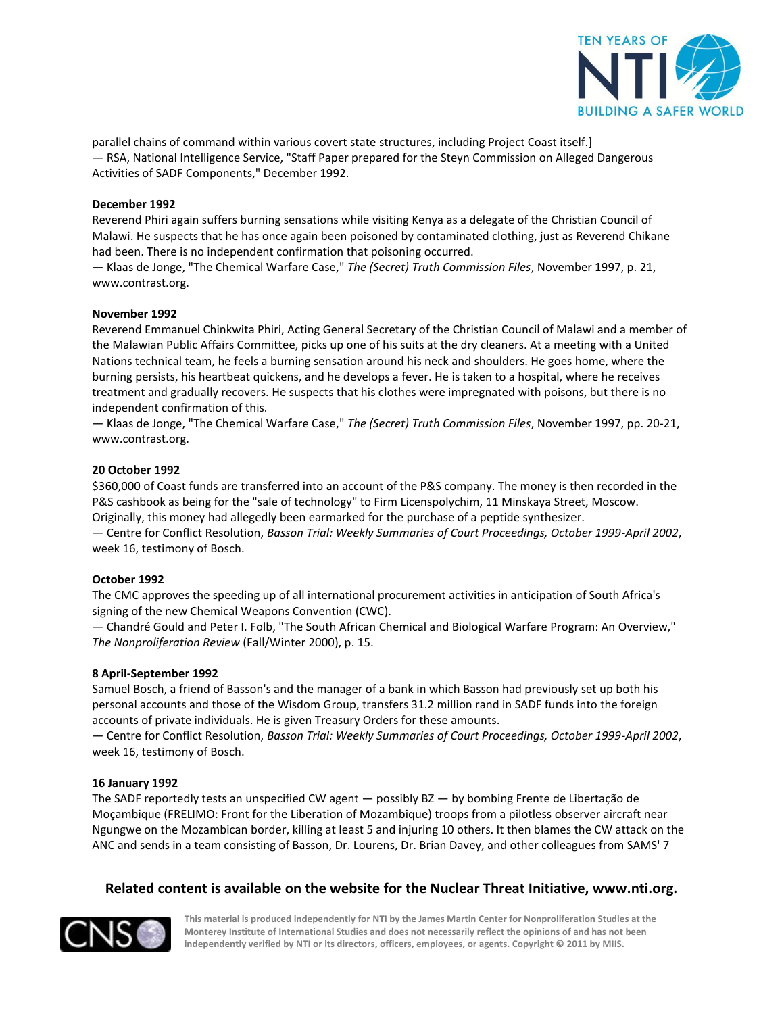

parallel chains of command within various covert state structures, including Project Coast itself.] — RSA, National Intelligence Service, "Staff Paper prepared for the Steyn Commission on Alleged Dangerous Activities of SADF Components," December 1992.

## **December 1992**

Reverend Phiri again suffers burning sensations while visiting Kenya as a delegate of the Christian Council of Malawi. He suspects that he has once again been poisoned by contaminated clothing, just as Reverend Chikane had been. There is no independent confirmation that poisoning occurred.

— Klaas de Jonge, "The Chemical Warfare Case," *The (Secret) Truth Commission Files*, November 1997, p. 21, www.contrast.org.

#### **November 1992**

Reverend Emmanuel Chinkwita Phiri, Acting General Secretary of the Christian Council of Malawi and a member of the Malawian Public Affairs Committee, picks up one of his suits at the dry cleaners. At a meeting with a United Nations technical team, he feels a burning sensation around his neck and shoulders. He goes home, where the burning persists, his heartbeat quickens, and he develops a fever. He is taken to a hospital, where he receives treatment and gradually recovers. He suspects that his clothes were impregnated with poisons, but there is no independent confirmation of this.

— Klaas de Jonge, "The Chemical Warfare Case," *The (Secret) Truth Commission Files*, November 1997, pp. 20-21, www.contrast.org.

#### **20 October 1992**

\$360,000 of Coast funds are transferred into an account of the P&S company. The money is then recorded in the P&S cashbook as being for the "sale of technology" to Firm Licenspolychim, 11 Minskaya Street, Moscow. Originally, this money had allegedly been earmarked for the purchase of a peptide synthesizer.

— Centre for Conflict Resolution, *Basson Trial: Weekly Summaries of Court Proceedings, October 1999-April 2002*, week 16, testimony of Bosch.

#### **October 1992**

The CMC approves the speeding up of all international procurement activities in anticipation of South Africa's signing of the new Chemical Weapons Convention (CWC).

— Chandré Gould and Peter I. Folb, "The South African Chemical and Biological Warfare Program: An Overview," *The Nonproliferation Review* (Fall/Winter 2000), p. 15.

#### **8 April-September 1992**

Samuel Bosch, a friend of Basson's and the manager of a bank in which Basson had previously set up both his personal accounts and those of the Wisdom Group, transfers 31.2 million rand in SADF funds into the foreign accounts of private individuals. He is given Treasury Orders for these amounts.

— Centre for Conflict Resolution, *Basson Trial: Weekly Summaries of Court Proceedings, October 1999-April 2002*, week 16, testimony of Bosch.

#### **16 January 1992**

The SADF reportedly tests an unspecified CW agent — possibly BZ — by bombing Frente de Libertação de Moçambique (FRELIMO: Front for the Liberation of Mozambique) troops from a pilotless observer aircraft near Ngungwe on the Mozambican border, killing at least 5 and injuring 10 others. It then blames the CW attack on the ANC and sends in a team consisting of Basson, Dr. Lourens, Dr. Brian Davey, and other colleagues from SAMS' 7

## **Related content is available on the website for the Nuclear Threat Initiative, www.nti.org.**

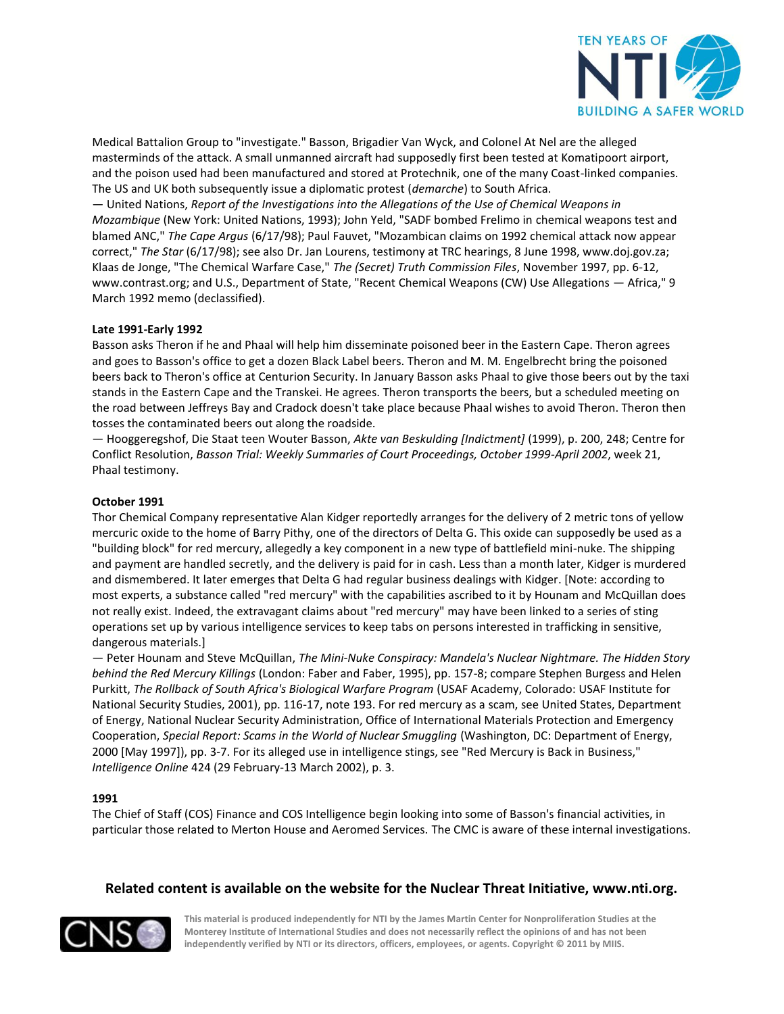

Medical Battalion Group to "investigate." Basson, Brigadier Van Wyck, and Colonel At Nel are the alleged masterminds of the attack. A small unmanned aircraft had supposedly first been tested at Komatipoort airport, and the poison used had been manufactured and stored at Protechnik, one of the many Coast-linked companies. The US and UK both subsequently issue a diplomatic protest (*demarche*) to South Africa.

— United Nations, *Report of the Investigations into the Allegations of the Use of Chemical Weapons in Mozambique* (New York: United Nations, 1993); John Yeld, "SADF bombed Frelimo in chemical weapons test and blamed ANC," *The Cape Argus* (6/17/98); Paul Fauvet, "Mozambican claims on 1992 chemical attack now appear correct," *The Star* (6/17/98); see also Dr. Jan Lourens, testimony at TRC hearings, 8 June 1998, www.doj.gov.za; Klaas de Jonge, "The Chemical Warfare Case," *The (Secret) Truth Commission Files*, November 1997, pp. 6-12, www.contrast.org; and U.S., Department of State, "Recent Chemical Weapons (CW) Use Allegations — Africa," 9 March 1992 memo (declassified).

#### **Late 1991-Early 1992**

Basson asks Theron if he and Phaal will help him disseminate poisoned beer in the Eastern Cape. Theron agrees and goes to Basson's office to get a dozen Black Label beers. Theron and M. M. Engelbrecht bring the poisoned beers back to Theron's office at Centurion Security. In January Basson asks Phaal to give those beers out by the taxi stands in the Eastern Cape and the Transkei. He agrees. Theron transports the beers, but a scheduled meeting on the road between Jeffreys Bay and Cradock doesn't take place because Phaal wishes to avoid Theron. Theron then tosses the contaminated beers out along the roadside.

— Hooggeregshof, Die Staat teen Wouter Basson, *Akte van Beskulding [Indictment]* (1999), p. 200, 248; Centre for Conflict Resolution, *Basson Trial: Weekly Summaries of Court Proceedings, October 1999-April 2002*, week 21, Phaal testimony.

#### **October 1991**

Thor Chemical Company representative Alan Kidger reportedly arranges for the delivery of 2 metric tons of yellow mercuric oxide to the home of Barry Pithy, one of the directors of Delta G. This oxide can supposedly be used as a "building block" for red mercury, allegedly a key component in a new type of battlefield mini-nuke. The shipping and payment are handled secretly, and the delivery is paid for in cash. Less than a month later, Kidger is murdered and dismembered. It later emerges that Delta G had regular business dealings with Kidger. [Note: according to most experts, a substance called "red mercury" with the capabilities ascribed to it by Hounam and McQuillan does not really exist. Indeed, the extravagant claims about "red mercury" may have been linked to a series of sting operations set up by various intelligence services to keep tabs on persons interested in trafficking in sensitive, dangerous materials.]

— Peter Hounam and Steve McQuillan, *The Mini-Nuke Conspiracy: Mandela's Nuclear Nightmare. The Hidden Story behind the Red Mercury Killings* (London: Faber and Faber, 1995), pp. 157-8; compare Stephen Burgess and Helen Purkitt, *The Rollback of South Africa's Biological Warfare Program* (USAF Academy, Colorado: USAF Institute for National Security Studies, 2001), pp. 116-17, note 193. For red mercury as a scam, see United States, Department of Energy, National Nuclear Security Administration, Office of International Materials Protection and Emergency Cooperation, *Special Report: Scams in the World of Nuclear Smuggling* (Washington, DC: Department of Energy, 2000 [May 1997]), pp. 3-7. For its alleged use in intelligence stings, see "Red Mercury is Back in Business," *Intelligence Online* 424 (29 February-13 March 2002), p. 3.

## **1991**

The Chief of Staff (COS) Finance and COS Intelligence begin looking into some of Basson's financial activities, in particular those related to Merton House and Aeromed Services. The CMC is aware of these internal investigations.

## **Related content is available on the website for the Nuclear Threat Initiative, www.nti.org.**

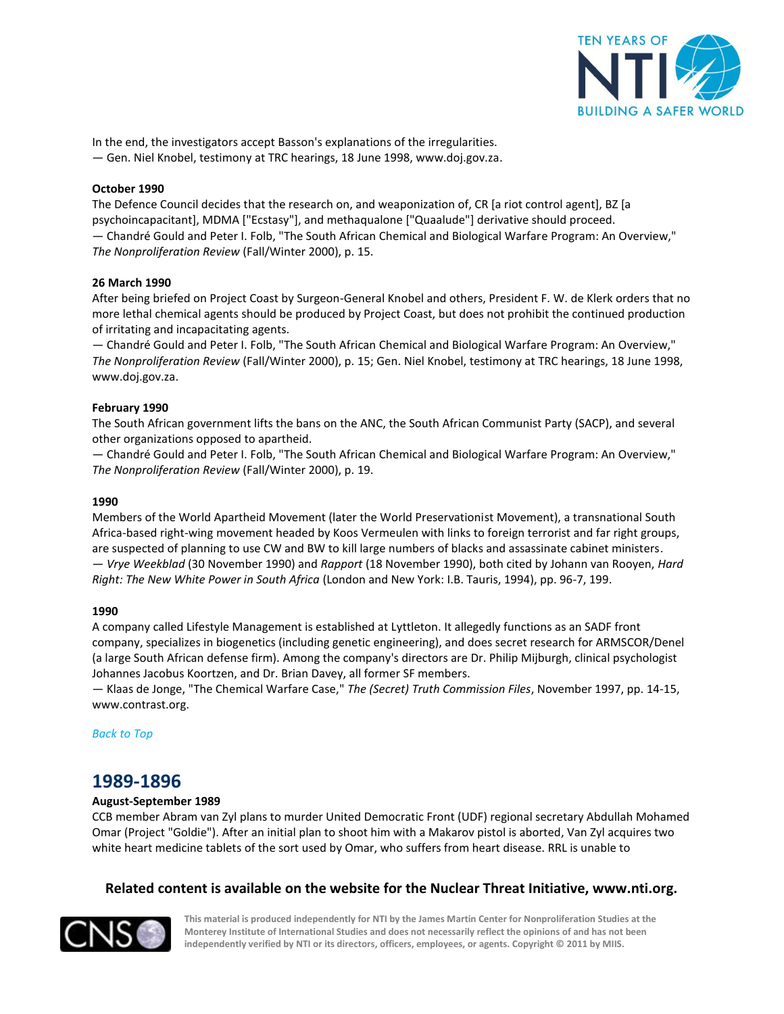

In the end, the investigators accept Basson's explanations of the irregularities.

— Gen. Niel Knobel, testimony at TRC hearings, 18 June 1998, www.doj.gov.za.

## **October 1990**

The Defence Council decides that the research on, and weaponization of, CR [a riot control agent], BZ [a psychoincapacitant], MDMA ["Ecstasy"], and methaqualone ["Quaalude"] derivative should proceed. — Chandré Gould and Peter I. Folb, "The South African Chemical and Biological Warfare Program: An Overview," *The Nonproliferation Review* (Fall/Winter 2000), p. 15.

## **26 March 1990**

After being briefed on Project Coast by Surgeon-General Knobel and others, President F. W. de Klerk orders that no more lethal chemical agents should be produced by Project Coast, but does not prohibit the continued production of irritating and incapacitating agents.

— Chandré Gould and Peter I. Folb, "The South African Chemical and Biological Warfare Program: An Overview," *The Nonproliferation Review* (Fall/Winter 2000), p. 15; Gen. Niel Knobel, testimony at TRC hearings, 18 June 1998, www.doj.gov.za.

## **February 1990**

The South African government lifts the bans on the ANC, the South African Communist Party (SACP), and several other organizations opposed to apartheid.

— Chandré Gould and Peter I. Folb, "The South African Chemical and Biological Warfare Program: An Overview," *The Nonproliferation Review* (Fall/Winter 2000), p. 19.

## **1990**

Members of the World Apartheid Movement (later the World Preservationist Movement), a transnational South Africa-based right-wing movement headed by Koos Vermeulen with links to foreign terrorist and far right groups, are suspected of planning to use CW and BW to kill large numbers of blacks and assassinate cabinet ministers. — *Vrye Weekblad* (30 November 1990) and *Rapport* (18 November 1990), both cited by Johann van Rooyen, *Hard Right: The New White Power in South Africa* (London and New York: I.B. Tauris, 1994), pp. 96-7, 199.

## **1990**

A company called Lifestyle Management is established at Lyttleton. It allegedly functions as an SADF front company, specializes in biogenetics (including genetic engineering), and does secret research for ARMSCOR/Denel (a large South African defense firm). Among the company's directors are Dr. Philip Mijburgh, clinical psychologist Johannes Jacobus Koortzen, and Dr. Brian Davey, all former SF members.

— Klaas de Jonge, "The Chemical Warfare Case," *The (Secret) Truth Commission Files*, November 1997, pp. 14-15, www.contrast.org.

<span id="page-12-0"></span>*[Back to](#page-0-1) Top*

# **1989-1896**

## **August-September 1989**

CCB member Abram van Zyl plans to murder United Democratic Front (UDF) regional secretary Abdullah Mohamed Omar (Project "Goldie"). After an initial plan to shoot him with a Makarov pistol is aborted, Van Zyl acquires two white heart medicine tablets of the sort used by Omar, who suffers from heart disease. RRL is unable to

## **Related content is available on the website for the Nuclear Threat Initiative, www.nti.org.**

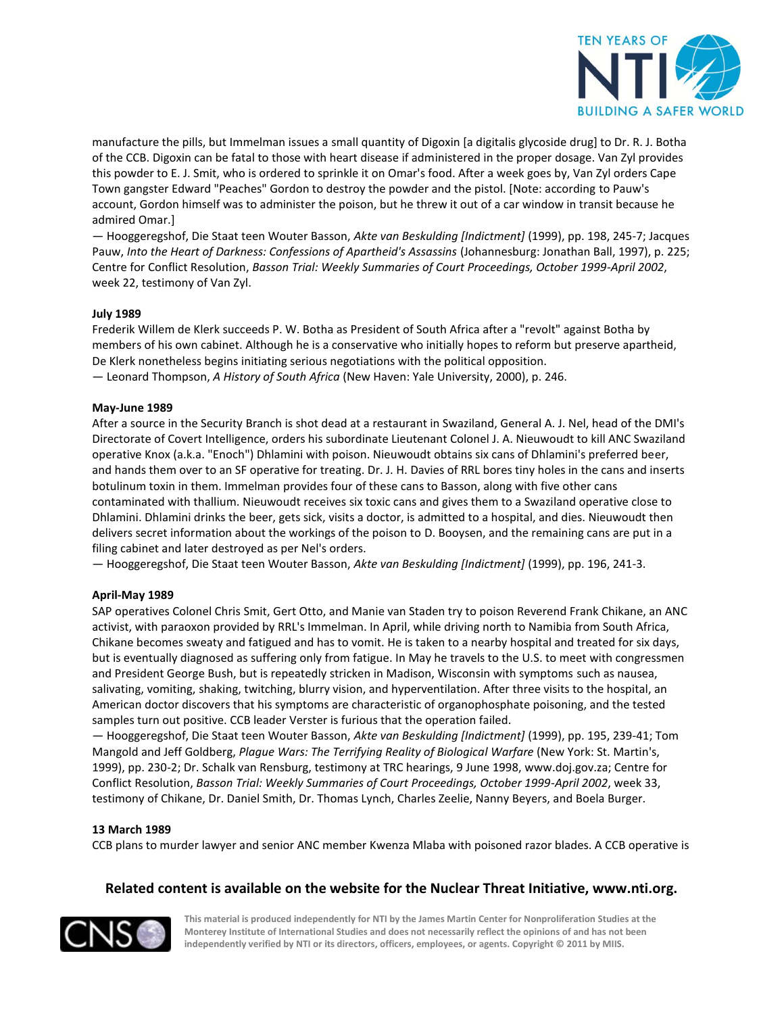

manufacture the pills, but Immelman issues a small quantity of Digoxin [a digitalis glycoside drug] to Dr. R. J. Botha of the CCB. Digoxin can be fatal to those with heart disease if administered in the proper dosage. Van Zyl provides this powder to E. J. Smit, who is ordered to sprinkle it on Omar's food. After a week goes by, Van Zyl orders Cape Town gangster Edward "Peaches" Gordon to destroy the powder and the pistol. [Note: according to Pauw's account, Gordon himself was to administer the poison, but he threw it out of a car window in transit because he admired Omar.]

— Hooggeregshof, Die Staat teen Wouter Basson, *Akte van Beskulding [Indictment]* (1999), pp. 198, 245-7; Jacques Pauw, *Into the Heart of Darkness: Confessions of Apartheid's Assassins* (Johannesburg: Jonathan Ball, 1997), p. 225; Centre for Conflict Resolution, *Basson Trial: Weekly Summaries of Court Proceedings, October 1999-April 2002*, week 22, testimony of Van Zyl.

## **July 1989**

Frederik Willem de Klerk succeeds P. W. Botha as President of South Africa after a "revolt" against Botha by members of his own cabinet. Although he is a conservative who initially hopes to reform but preserve apartheid, De Klerk nonetheless begins initiating serious negotiations with the political opposition.

— Leonard Thompson, *A History of South Africa* (New Haven: Yale University, 2000), p. 246.

#### **May-June 1989**

After a source in the Security Branch is shot dead at a restaurant in Swaziland, General A. J. Nel, head of the DMI's Directorate of Covert Intelligence, orders his subordinate Lieutenant Colonel J. A. Nieuwoudt to kill ANC Swaziland operative Knox (a.k.a. "Enoch") Dhlamini with poison. Nieuwoudt obtains six cans of Dhlamini's preferred beer, and hands them over to an SF operative for treating. Dr. J. H. Davies of RRL bores tiny holes in the cans and inserts botulinum toxin in them. Immelman provides four of these cans to Basson, along with five other cans contaminated with thallium. Nieuwoudt receives six toxic cans and gives them to a Swaziland operative close to Dhlamini. Dhlamini drinks the beer, gets sick, visits a doctor, is admitted to a hospital, and dies. Nieuwoudt then delivers secret information about the workings of the poison to D. Booysen, and the remaining cans are put in a filing cabinet and later destroyed as per Nel's orders.

— Hooggeregshof, Die Staat teen Wouter Basson, *Akte van Beskulding [Indictment]* (1999), pp. 196, 241-3.

#### **April-May 1989**

SAP operatives Colonel Chris Smit, Gert Otto, and Manie van Staden try to poison Reverend Frank Chikane, an ANC activist, with paraoxon provided by RRL's Immelman. In April, while driving north to Namibia from South Africa, Chikane becomes sweaty and fatigued and has to vomit. He is taken to a nearby hospital and treated for six days, but is eventually diagnosed as suffering only from fatigue. In May he travels to the U.S. to meet with congressmen and President George Bush, but is repeatedly stricken in Madison, Wisconsin with symptoms such as nausea, salivating, vomiting, shaking, twitching, blurry vision, and hyperventilation. After three visits to the hospital, an American doctor discovers that his symptoms are characteristic of organophosphate poisoning, and the tested samples turn out positive. CCB leader Verster is furious that the operation failed.

— Hooggeregshof, Die Staat teen Wouter Basson, *Akte van Beskulding [Indictment]* (1999), pp. 195, 239-41; Tom Mangold and Jeff Goldberg, *Plague Wars: The Terrifying Reality of Biological Warfare* (New York: St. Martin's, 1999), pp. 230-2; Dr. Schalk van Rensburg, testimony at TRC hearings, 9 June 1998, www.doj.gov.za; Centre for Conflict Resolution, *Basson Trial: Weekly Summaries of Court Proceedings, October 1999-April 2002*, week 33, testimony of Chikane, Dr. Daniel Smith, Dr. Thomas Lynch, Charles Zeelie, Nanny Beyers, and Boela Burger.

#### **13 March 1989**

CCB plans to murder lawyer and senior ANC member Kwenza Mlaba with poisoned razor blades. A CCB operative is

## **Related content is available on the website for the Nuclear Threat Initiative, www.nti.org.**

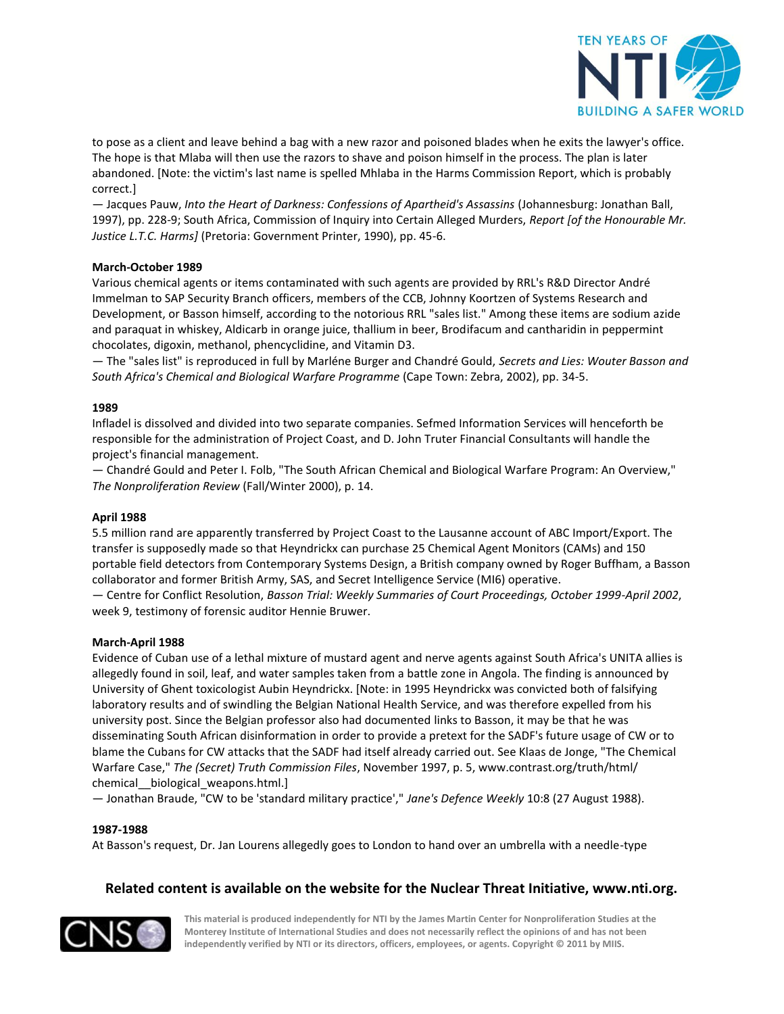

to pose as a client and leave behind a bag with a new razor and poisoned blades when he exits the lawyer's office. The hope is that Mlaba will then use the razors to shave and poison himself in the process. The plan is later abandoned. [Note: the victim's last name is spelled Mhlaba in the Harms Commission Report, which is probably correct.]

— Jacques Pauw, *Into the Heart of Darkness: Confessions of Apartheid's Assassins* (Johannesburg: Jonathan Ball, 1997), pp. 228-9; South Africa, Commission of Inquiry into Certain Alleged Murders, *Report [of the Honourable Mr. Justice L.T.C. Harms]* (Pretoria: Government Printer, 1990), pp. 45-6.

## **March-October 1989**

Various chemical agents or items contaminated with such agents are provided by RRL's R&D Director André Immelman to SAP Security Branch officers, members of the CCB, Johnny Koortzen of Systems Research and Development, or Basson himself, according to the notorious RRL "sales list." Among these items are sodium azide and paraquat in whiskey, Aldicarb in orange juice, thallium in beer, Brodifacum and cantharidin in peppermint chocolates, digoxin, methanol, phencyclidine, and Vitamin D3.

— The "sales list" is reproduced in full by Marléne Burger and Chandré Gould, *Secrets and Lies: Wouter Basson and South Africa's Chemical and Biological Warfare Programme* (Cape Town: Zebra, 2002), pp. 34-5.

#### **1989**

Infladel is dissolved and divided into two separate companies. Sefmed Information Services will henceforth be responsible for the administration of Project Coast, and D. John Truter Financial Consultants will handle the project's financial management.

— Chandré Gould and Peter I. Folb, "The South African Chemical and Biological Warfare Program: An Overview," *The Nonproliferation Review* (Fall/Winter 2000), p. 14.

#### **April 1988**

5.5 million rand are apparently transferred by Project Coast to the Lausanne account of ABC Import/Export. The transfer is supposedly made so that Heyndrickx can purchase 25 Chemical Agent Monitors (CAMs) and 150 portable field detectors from Contemporary Systems Design, a British company owned by Roger Buffham, a Basson collaborator and former British Army, SAS, and Secret Intelligence Service (MI6) operative.

— Centre for Conflict Resolution, *Basson Trial: Weekly Summaries of Court Proceedings, October 1999-April 2002*, week 9, testimony of forensic auditor Hennie Bruwer.

#### **March-April 1988**

Evidence of Cuban use of a lethal mixture of mustard agent and nerve agents against South Africa's UNITA allies is allegedly found in soil, leaf, and water samples taken from a battle zone in Angola. The finding is announced by University of Ghent toxicologist Aubin Heyndrickx. [Note: in 1995 Heyndrickx was convicted both of falsifying laboratory results and of swindling the Belgian National Health Service, and was therefore expelled from his university post. Since the Belgian professor also had documented links to Basson, it may be that he was disseminating South African disinformation in order to provide a pretext for the SADF's future usage of CW or to blame the Cubans for CW attacks that the SADF had itself already carried out. See Klaas de Jonge, "The Chemical Warfare Case," *The (Secret) Truth Commission Files*, November 1997, p. 5, www.contrast.org/truth/html/ chemical biological weapons.html.]

— Jonathan Braude, "CW to be 'standard military practice'," *Jane's Defence Weekly* 10:8 (27 August 1988).

#### **1987-1988**

At Basson's request, Dr. Jan Lourens allegedly goes to London to hand over an umbrella with a needle-type

## **Related content is available on the website for the Nuclear Threat Initiative, www.nti.org.**

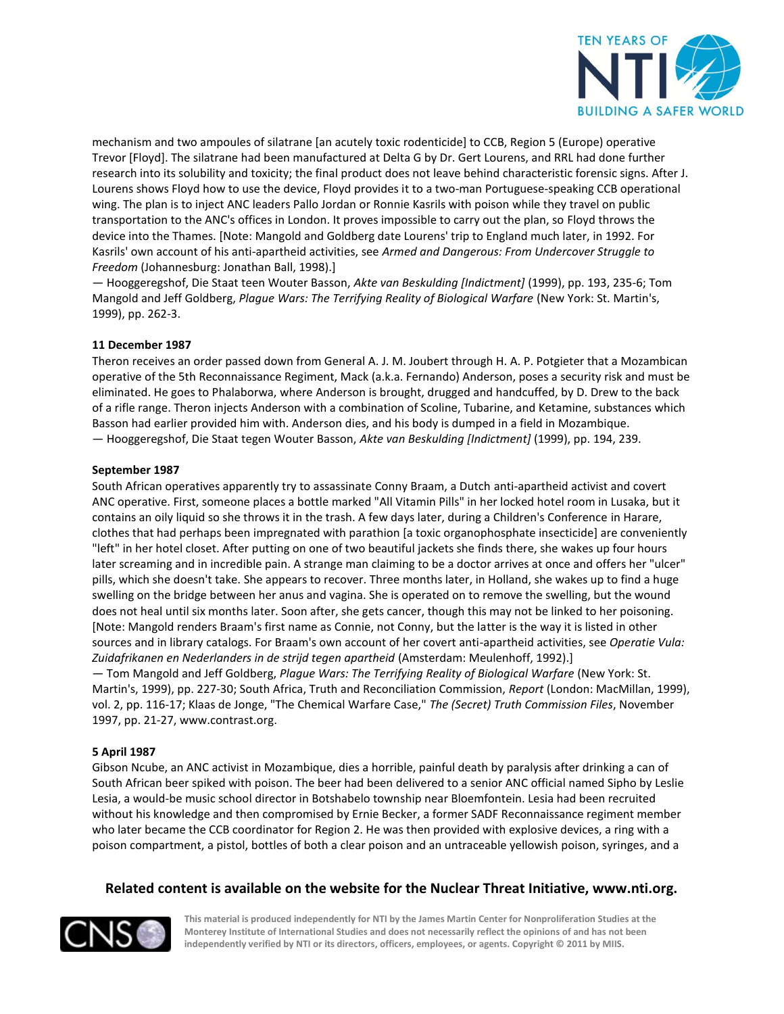

mechanism and two ampoules of silatrane [an acutely toxic rodenticide] to CCB, Region 5 (Europe) operative Trevor [Floyd]. The silatrane had been manufactured at Delta G by Dr. Gert Lourens, and RRL had done further research into its solubility and toxicity; the final product does not leave behind characteristic forensic signs. After J. Lourens shows Floyd how to use the device, Floyd provides it to a two-man Portuguese-speaking CCB operational wing. The plan is to inject ANC leaders Pallo Jordan or Ronnie Kasrils with poison while they travel on public transportation to the ANC's offices in London. It proves impossible to carry out the plan, so Floyd throws the device into the Thames. [Note: Mangold and Goldberg date Lourens' trip to England much later, in 1992. For Kasrils' own account of his anti-apartheid activities, see *Armed and Dangerous: From Undercover Struggle to Freedom* (Johannesburg: Jonathan Ball, 1998).]

— Hooggeregshof, Die Staat teen Wouter Basson, *Akte van Beskulding [Indictment]* (1999), pp. 193, 235-6; Tom Mangold and Jeff Goldberg, *Plague Wars: The Terrifying Reality of Biological Warfare* (New York: St. Martin's, 1999), pp. 262-3.

## **11 December 1987**

Theron receives an order passed down from General A. J. M. Joubert through H. A. P. Potgieter that a Mozambican operative of the 5th Reconnaissance Regiment, Mack (a.k.a. Fernando) Anderson, poses a security risk and must be eliminated. He goes to Phalaborwa, where Anderson is brought, drugged and handcuffed, by D. Drew to the back of a rifle range. Theron injects Anderson with a combination of Scoline, Tubarine, and Ketamine, substances which Basson had earlier provided him with. Anderson dies, and his body is dumped in a field in Mozambique. — Hooggeregshof, Die Staat tegen Wouter Basson, *Akte van Beskulding [Indictment]* (1999), pp. 194, 239.

#### **September 1987**

South African operatives apparently try to assassinate Conny Braam, a Dutch anti-apartheid activist and covert ANC operative. First, someone places a bottle marked "All Vitamin Pills" in her locked hotel room in Lusaka, but it contains an oily liquid so she throws it in the trash. A few days later, during a Children's Conference in Harare, clothes that had perhaps been impregnated with parathion [a toxic organophosphate insecticide] are conveniently "left" in her hotel closet. After putting on one of two beautiful jackets she finds there, she wakes up four hours later screaming and in incredible pain. A strange man claiming to be a doctor arrives at once and offers her "ulcer" pills, which she doesn't take. She appears to recover. Three months later, in Holland, she wakes up to find a huge swelling on the bridge between her anus and vagina. She is operated on to remove the swelling, but the wound does not heal until six months later. Soon after, she gets cancer, though this may not be linked to her poisoning. [Note: Mangold renders Braam's first name as Connie, not Conny, but the latter is the way it is listed in other sources and in library catalogs. For Braam's own account of her covert anti-apartheid activities, see *Operatie Vula: Zuidafrikanen en Nederlanders in de strijd tegen apartheid* (Amsterdam: Meulenhoff, 1992).]

— Tom Mangold and Jeff Goldberg, *Plague Wars: The Terrifying Reality of Biological Warfare* (New York: St. Martin's, 1999), pp. 227-30; South Africa, Truth and Reconciliation Commission, *Report* (London: MacMillan, 1999), vol. 2, pp. 116-17; Klaas de Jonge, "The Chemical Warfare Case," *The (Secret) Truth Commission Files*, November 1997, pp. 21-27, www.contrast.org.

## **5 April 1987**

Gibson Ncube, an ANC activist in Mozambique, dies a horrible, painful death by paralysis after drinking a can of South African beer spiked with poison. The beer had been delivered to a senior ANC official named Sipho by Leslie Lesia, a would-be music school director in Botshabelo township near Bloemfontein. Lesia had been recruited without his knowledge and then compromised by Ernie Becker, a former SADF Reconnaissance regiment member who later became the CCB coordinator for Region 2. He was then provided with explosive devices, a ring with a poison compartment, a pistol, bottles of both a clear poison and an untraceable yellowish poison, syringes, and a

## **Related content is available on the website for the Nuclear Threat Initiative, www.nti.org.**

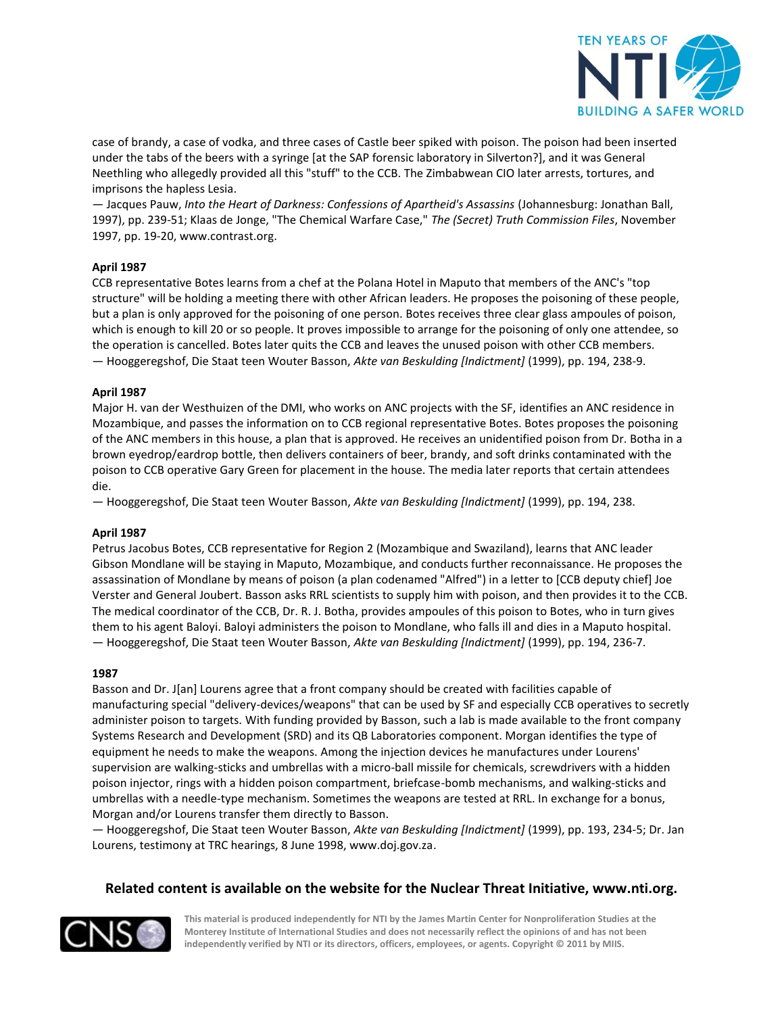

case of brandy, a case of vodka, and three cases of Castle beer spiked with poison. The poison had been inserted under the tabs of the beers with a syringe [at the SAP forensic laboratory in Silverton?], and it was General Neethling who allegedly provided all this "stuff" to the CCB. The Zimbabwean CIO later arrests, tortures, and imprisons the hapless Lesia.

— Jacques Pauw, *Into the Heart of Darkness: Confessions of Apartheid's Assassins* (Johannesburg: Jonathan Ball, 1997), pp. 239-51; Klaas de Jonge, "The Chemical Warfare Case," *The (Secret) Truth Commission Files*, November 1997, pp. 19-20, www.contrast.org.

## **April 1987**

CCB representative Botes learns from a chef at the Polana Hotel in Maputo that members of the ANC's "top structure" will be holding a meeting there with other African leaders. He proposes the poisoning of these people, but a plan is only approved for the poisoning of one person. Botes receives three clear glass ampoules of poison, which is enough to kill 20 or so people. It proves impossible to arrange for the poisoning of only one attendee, so the operation is cancelled. Botes later quits the CCB and leaves the unused poison with other CCB members. — Hooggeregshof, Die Staat teen Wouter Basson, *Akte van Beskulding [Indictment]* (1999), pp. 194, 238-9.

## **April 1987**

Major H. van der Westhuizen of the DMI, who works on ANC projects with the SF, identifies an ANC residence in Mozambique, and passes the information on to CCB regional representative Botes. Botes proposes the poisoning of the ANC members in this house, a plan that is approved. He receives an unidentified poison from Dr. Botha in a brown eyedrop/eardrop bottle, then delivers containers of beer, brandy, and soft drinks contaminated with the poison to CCB operative Gary Green for placement in the house. The media later reports that certain attendees die.

— Hooggeregshof, Die Staat teen Wouter Basson, *Akte van Beskulding [Indictment]* (1999), pp. 194, 238.

#### **April 1987**

Petrus Jacobus Botes, CCB representative for Region 2 (Mozambique and Swaziland), learns that ANC leader Gibson Mondlane will be staying in Maputo, Mozambique, and conducts further reconnaissance. He proposes the assassination of Mondlane by means of poison (a plan codenamed "Alfred") in a letter to [CCB deputy chief] Joe Verster and General Joubert. Basson asks RRL scientists to supply him with poison, and then provides it to the CCB. The medical coordinator of the CCB, Dr. R. J. Botha, provides ampoules of this poison to Botes, who in turn gives them to his agent Baloyi. Baloyi administers the poison to Mondlane, who falls ill and dies in a Maputo hospital. — Hooggeregshof, Die Staat teen Wouter Basson, *Akte van Beskulding [Indictment]* (1999), pp. 194, 236-7.

#### **1987**

Basson and Dr. J[an] Lourens agree that a front company should be created with facilities capable of manufacturing special "delivery-devices/weapons" that can be used by SF and especially CCB operatives to secretly administer poison to targets. With funding provided by Basson, such a lab is made available to the front company Systems Research and Development (SRD) and its QB Laboratories component. Morgan identifies the type of equipment he needs to make the weapons. Among the injection devices he manufactures under Lourens' supervision are walking-sticks and umbrellas with a micro-ball missile for chemicals, screwdrivers with a hidden poison injector, rings with a hidden poison compartment, briefcase-bomb mechanisms, and walking-sticks and umbrellas with a needle-type mechanism. Sometimes the weapons are tested at RRL. In exchange for a bonus, Morgan and/or Lourens transfer them directly to Basson.

— Hooggeregshof, Die Staat teen Wouter Basson, *Akte van Beskulding [Indictment]* (1999), pp. 193, 234-5; Dr. Jan Lourens, testimony at TRC hearings, 8 June 1998, www.doj.gov.za.

## **Related content is available on the website for the Nuclear Threat Initiative, www.nti.org.**

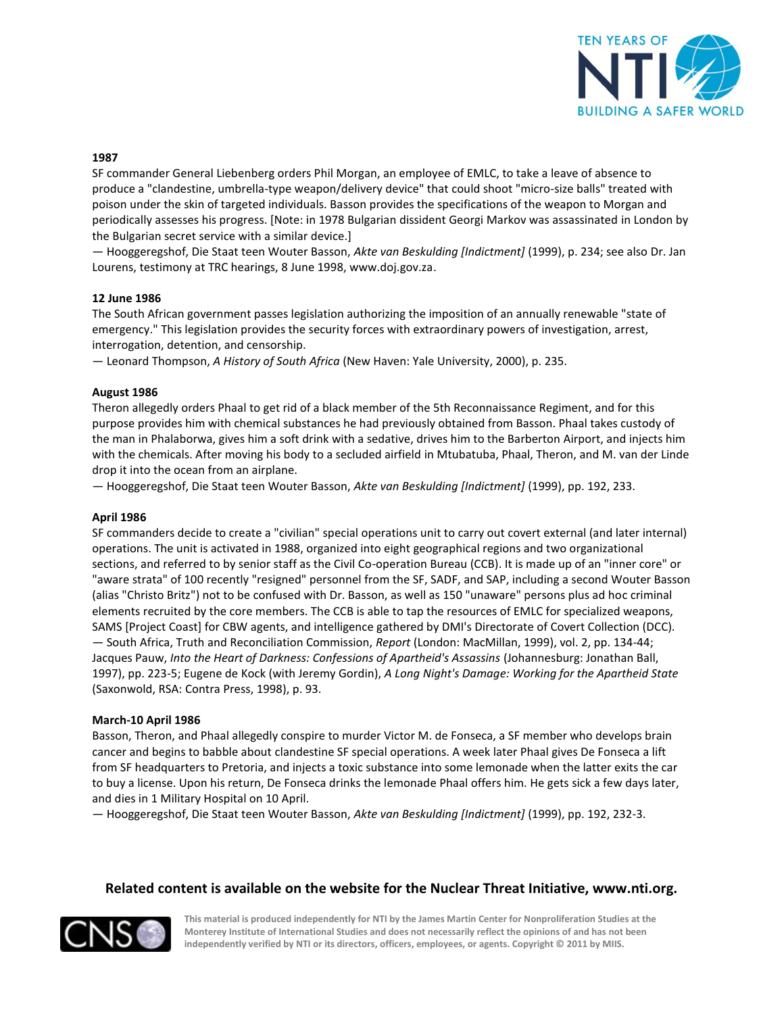

#### **1987**

SF commander General Liebenberg orders Phil Morgan, an employee of EMLC, to take a leave of absence to produce a "clandestine, umbrella-type weapon/delivery device" that could shoot "micro-size balls" treated with poison under the skin of targeted individuals. Basson provides the specifications of the weapon to Morgan and periodically assesses his progress. [Note: in 1978 Bulgarian dissident Georgi Markov was assassinated in London by the Bulgarian secret service with a similar device.]

— Hooggeregshof, Die Staat teen Wouter Basson, *Akte van Beskulding [Indictment]* (1999), p. 234; see also Dr. Jan Lourens, testimony at TRC hearings, 8 June 1998, www.doj.gov.za.

#### **12 June 1986**

The South African government passes legislation authorizing the imposition of an annually renewable "state of emergency." This legislation provides the security forces with extraordinary powers of investigation, arrest, interrogation, detention, and censorship.

— Leonard Thompson, *A History of South Africa* (New Haven: Yale University, 2000), p. 235.

#### **August 1986**

Theron allegedly orders Phaal to get rid of a black member of the 5th Reconnaissance Regiment, and for this purpose provides him with chemical substances he had previously obtained from Basson. Phaal takes custody of the man in Phalaborwa, gives him a soft drink with a sedative, drives him to the Barberton Airport, and injects him with the chemicals. After moving his body to a secluded airfield in Mtubatuba, Phaal, Theron, and M. van der Linde drop it into the ocean from an airplane.

— Hooggeregshof, Die Staat teen Wouter Basson, *Akte van Beskulding [Indictment]* (1999), pp. 192, 233.

#### **April 1986**

SF commanders decide to create a "civilian" special operations unit to carry out covert external (and later internal) operations. The unit is activated in 1988, organized into eight geographical regions and two organizational sections, and referred to by senior staff as the Civil Co-operation Bureau (CCB). It is made up of an "inner core" or "aware strata" of 100 recently "resigned" personnel from the SF, SADF, and SAP, including a second Wouter Basson (alias "Christo Britz") not to be confused with Dr. Basson, as well as 150 "unaware" persons plus ad hoc criminal elements recruited by the core members. The CCB is able to tap the resources of EMLC for specialized weapons, SAMS [Project Coast] for CBW agents, and intelligence gathered by DMI's Directorate of Covert Collection (DCC). — South Africa, Truth and Reconciliation Commission, *Report* (London: MacMillan, 1999), vol. 2, pp. 134-44; Jacques Pauw, *Into the Heart of Darkness: Confessions of Apartheid's Assassins* (Johannesburg: Jonathan Ball, 1997), pp. 223-5; Eugene de Kock (with Jeremy Gordin), *A Long Night's Damage: Working for the Apartheid State* (Saxonwold, RSA: Contra Press, 1998), p. 93.

#### **March-10 April 1986**

Basson, Theron, and Phaal allegedly conspire to murder Victor M. de Fonseca, a SF member who develops brain cancer and begins to babble about clandestine SF special operations. A week later Phaal gives De Fonseca a lift from SF headquarters to Pretoria, and injects a toxic substance into some lemonade when the latter exits the car to buy a license. Upon his return, De Fonseca drinks the lemonade Phaal offers him. He gets sick a few days later, and dies in 1 Military Hospital on 10 April.

— Hooggeregshof, Die Staat teen Wouter Basson, *Akte van Beskulding [Indictment]* (1999), pp. 192, 232-3.

## **Related content is available on the website for the Nuclear Threat Initiative, www.nti.org.**

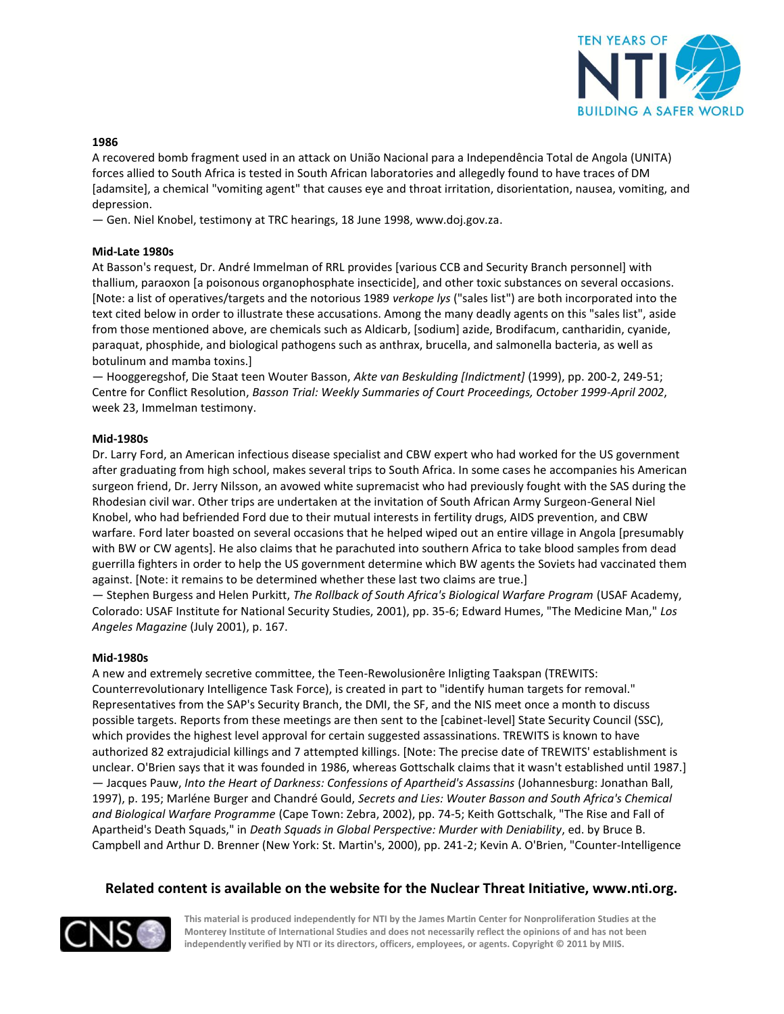

#### **1986**

A recovered bomb fragment used in an attack on União Nacional para a Independência Total de Angola (UNITA) forces allied to South Africa is tested in South African laboratories and allegedly found to have traces of DM [adamsite], a chemical "vomiting agent" that causes eye and throat irritation, disorientation, nausea, vomiting, and depression.

— Gen. Niel Knobel, testimony at TRC hearings, 18 June 1998, www.doj.gov.za.

## **Mid-Late 1980s**

At Basson's request, Dr. André Immelman of RRL provides [various CCB and Security Branch personnel] with thallium, paraoxon [a poisonous organophosphate insecticide], and other toxic substances on several occasions. [Note: a list of operatives/targets and the notorious 1989 *verkope lys* ("sales list") are both incorporated into the text cited below in order to illustrate these accusations. Among the many deadly agents on this "sales list", aside from those mentioned above, are chemicals such as Aldicarb, [sodium] azide, Brodifacum, cantharidin, cyanide, paraquat, phosphide, and biological pathogens such as anthrax, brucella, and salmonella bacteria, as well as botulinum and mamba toxins.]

— Hooggeregshof, Die Staat teen Wouter Basson, *Akte van Beskulding [Indictment]* (1999), pp. 200-2, 249-51; Centre for Conflict Resolution, *Basson Trial: Weekly Summaries of Court Proceedings, October 1999-April 2002*, week 23, Immelman testimony.

#### **Mid-1980s**

Dr. Larry Ford, an American infectious disease specialist and CBW expert who had worked for the US government after graduating from high school, makes several trips to South Africa. In some cases he accompanies his American surgeon friend, Dr. Jerry Nilsson, an avowed white supremacist who had previously fought with the SAS during the Rhodesian civil war. Other trips are undertaken at the invitation of South African Army Surgeon-General Niel Knobel, who had befriended Ford due to their mutual interests in fertility drugs, AIDS prevention, and CBW warfare. Ford later boasted on several occasions that he helped wiped out an entire village in Angola [presumably with BW or CW agents]. He also claims that he parachuted into southern Africa to take blood samples from dead guerrilla fighters in order to help the US government determine which BW agents the Soviets had vaccinated them against. [Note: it remains to be determined whether these last two claims are true.]

— Stephen Burgess and Helen Purkitt, *The Rollback of South Africa's Biological Warfare Program* (USAF Academy, Colorado: USAF Institute for National Security Studies, 2001), pp. 35-6; Edward Humes, "The Medicine Man," *Los Angeles Magazine* (July 2001), p. 167.

#### **Mid-1980s**

A new and extremely secretive committee, the Teen-Rewolusionêre Inligting Taakspan (TREWITS: Counterrevolutionary Intelligence Task Force), is created in part to "identify human targets for removal." Representatives from the SAP's Security Branch, the DMI, the SF, and the NIS meet once a month to discuss possible targets. Reports from these meetings are then sent to the [cabinet-level] State Security Council (SSC), which provides the highest level approval for certain suggested assassinations. TREWITS is known to have authorized 82 extrajudicial killings and 7 attempted killings. [Note: The precise date of TREWITS' establishment is unclear. O'Brien says that it was founded in 1986, whereas Gottschalk claims that it wasn't established until 1987.] — Jacques Pauw, *Into the Heart of Darkness: Confessions of Apartheid's Assassins* (Johannesburg: Jonathan Ball, 1997), p. 195; Marléne Burger and Chandré Gould, *Secrets and Lies: Wouter Basson and South Africa's Chemical and Biological Warfare Programme* (Cape Town: Zebra, 2002), pp. 74-5; Keith Gottschalk, "The Rise and Fall of Apartheid's Death Squads," in *Death Squads in Global Perspective: Murder with Deniability*, ed. by Bruce B. Campbell and Arthur D. Brenner (New York: St. Martin's, 2000), pp. 241-2; Kevin A. O'Brien, "Counter-Intelligence

## **Related content is available on the website for the Nuclear Threat Initiative, www.nti.org.**

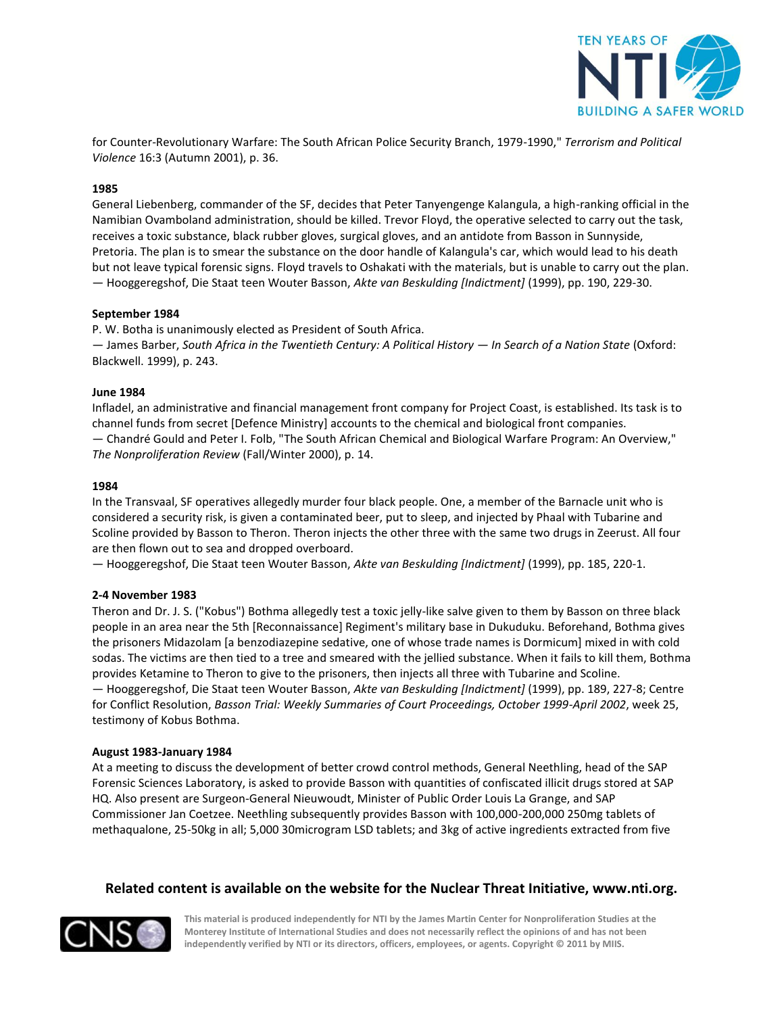

for Counter-Revolutionary Warfare: The South African Police Security Branch, 1979-1990," *Terrorism and Political Violence* 16:3 (Autumn 2001), p. 36.

## **1985**

General Liebenberg, commander of the SF, decides that Peter Tanyengenge Kalangula, a high-ranking official in the Namibian Ovamboland administration, should be killed. Trevor Floyd, the operative selected to carry out the task, receives a toxic substance, black rubber gloves, surgical gloves, and an antidote from Basson in Sunnyside, Pretoria. The plan is to smear the substance on the door handle of Kalangula's car, which would lead to his death but not leave typical forensic signs. Floyd travels to Oshakati with the materials, but is unable to carry out the plan. — Hooggeregshof, Die Staat teen Wouter Basson, *Akte van Beskulding [Indictment]* (1999), pp. 190, 229-30.

#### **September 1984**

P. W. Botha is unanimously elected as President of South Africa. — James Barber, *South Africa in the Twentieth Century: A Political History — In Search of a Nation State* (Oxford: Blackwell. 1999), p. 243.

#### **June 1984**

Infladel, an administrative and financial management front company for Project Coast, is established. Its task is to channel funds from secret [Defence Ministry] accounts to the chemical and biological front companies. — Chandré Gould and Peter I. Folb, "The South African Chemical and Biological Warfare Program: An Overview," *The Nonproliferation Review* (Fall/Winter 2000), p. 14.

#### **1984**

In the Transvaal, SF operatives allegedly murder four black people. One, a member of the Barnacle unit who is considered a security risk, is given a contaminated beer, put to sleep, and injected by Phaal with Tubarine and Scoline provided by Basson to Theron. Theron injects the other three with the same two drugs in Zeerust. All four are then flown out to sea and dropped overboard.

— Hooggeregshof, Die Staat teen Wouter Basson, *Akte van Beskulding [Indictment]* (1999), pp. 185, 220-1.

## **2-4 November 1983**

Theron and Dr. J. S. ("Kobus") Bothma allegedly test a toxic jelly-like salve given to them by Basson on three black people in an area near the 5th [Reconnaissance] Regiment's military base in Dukuduku. Beforehand, Bothma gives the prisoners Midazolam [a benzodiazepine sedative, one of whose trade names is Dormicum] mixed in with cold sodas. The victims are then tied to a tree and smeared with the jellied substance. When it fails to kill them, Bothma provides Ketamine to Theron to give to the prisoners, then injects all three with Tubarine and Scoline. — Hooggeregshof, Die Staat teen Wouter Basson, *Akte van Beskulding [Indictment]* (1999), pp. 189, 227-8; Centre for Conflict Resolution, *Basson Trial: Weekly Summaries of Court Proceedings, October 1999-April 2002*, week 25, testimony of Kobus Bothma.

#### **August 1983-January 1984**

At a meeting to discuss the development of better crowd control methods, General Neethling, head of the SAP Forensic Sciences Laboratory, is asked to provide Basson with quantities of confiscated illicit drugs stored at SAP HQ. Also present are Surgeon-General Nieuwoudt, Minister of Public Order Louis La Grange, and SAP Commissioner Jan Coetzee. Neethling subsequently provides Basson with 100,000-200,000 250mg tablets of methaqualone, 25-50kg in all; 5,000 30microgram LSD tablets; and 3kg of active ingredients extracted from five

## **Related content is available on the website for the Nuclear Threat Initiative, www.nti.org.**

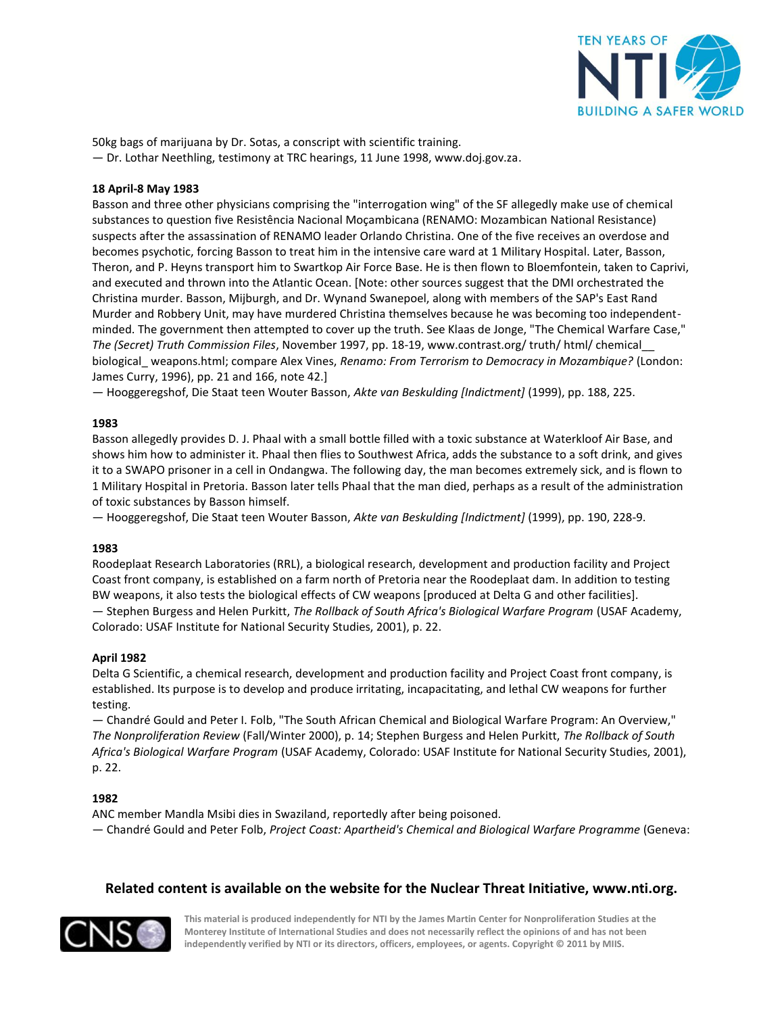

50kg bags of marijuana by Dr. Sotas, a conscript with scientific training. — Dr. Lothar Neethling, testimony at TRC hearings, 11 June 1998, www.doj.gov.za.

## **18 April-8 May 1983**

Basson and three other physicians comprising the "interrogation wing" of the SF allegedly make use of chemical substances to question five Resistência Nacional Moçambicana (RENAMO: Mozambican National Resistance) suspects after the assassination of RENAMO leader Orlando Christina. One of the five receives an overdose and becomes psychotic, forcing Basson to treat him in the intensive care ward at 1 Military Hospital. Later, Basson, Theron, and P. Heyns transport him to Swartkop Air Force Base. He is then flown to Bloemfontein, taken to Caprivi, and executed and thrown into the Atlantic Ocean. [Note: other sources suggest that the DMI orchestrated the Christina murder. Basson, Mijburgh, and Dr. Wynand Swanepoel, along with members of the SAP's East Rand Murder and Robbery Unit, may have murdered Christina themselves because he was becoming too independentminded. The government then attempted to cover up the truth. See Klaas de Jonge, "The Chemical Warfare Case," *The (Secret) Truth Commission Files*, November 1997, pp. 18-19, www.contrast.org/ truth/ html/ chemical\_\_ biological\_ weapons.html; compare Alex Vines, *Renamo: From Terrorism to Democracy in Mozambique?* (London: James Curry, 1996), pp. 21 and 166, note 42.]

— Hooggeregshof, Die Staat teen Wouter Basson, *Akte van Beskulding [Indictment]* (1999), pp. 188, 225.

## **1983**

Basson allegedly provides D. J. Phaal with a small bottle filled with a toxic substance at Waterkloof Air Base, and shows him how to administer it. Phaal then flies to Southwest Africa, adds the substance to a soft drink, and gives it to a SWAPO prisoner in a cell in Ondangwa. The following day, the man becomes extremely sick, and is flown to 1 Military Hospital in Pretoria. Basson later tells Phaal that the man died, perhaps as a result of the administration of toxic substances by Basson himself.

— Hooggeregshof, Die Staat teen Wouter Basson, *Akte van Beskulding [Indictment]* (1999), pp. 190, 228-9.

## **1983**

Roodeplaat Research Laboratories (RRL), a biological research, development and production facility and Project Coast front company, is established on a farm north of Pretoria near the Roodeplaat dam. In addition to testing BW weapons, it also tests the biological effects of CW weapons [produced at Delta G and other facilities].

— Stephen Burgess and Helen Purkitt, *The Rollback of South Africa's Biological Warfare Program* (USAF Academy, Colorado: USAF Institute for National Security Studies, 2001), p. 22.

#### **April 1982**

Delta G Scientific, a chemical research, development and production facility and Project Coast front company, is established. Its purpose is to develop and produce irritating, incapacitating, and lethal CW weapons for further testing.

— Chandré Gould and Peter I. Folb, "The South African Chemical and Biological Warfare Program: An Overview," *The Nonproliferation Review* (Fall/Winter 2000), p. 14; Stephen Burgess and Helen Purkitt, *The Rollback of South Africa's Biological Warfare Program* (USAF Academy, Colorado: USAF Institute for National Security Studies, 2001), p. 22.

## **1982**

ANC member Mandla Msibi dies in Swaziland, reportedly after being poisoned.

— Chandré Gould and Peter Folb, *Project Coast: Apartheid's Chemical and Biological Warfare Programme* (Geneva:

## **Related content is available on the website for the Nuclear Threat Initiative, www.nti.org.**

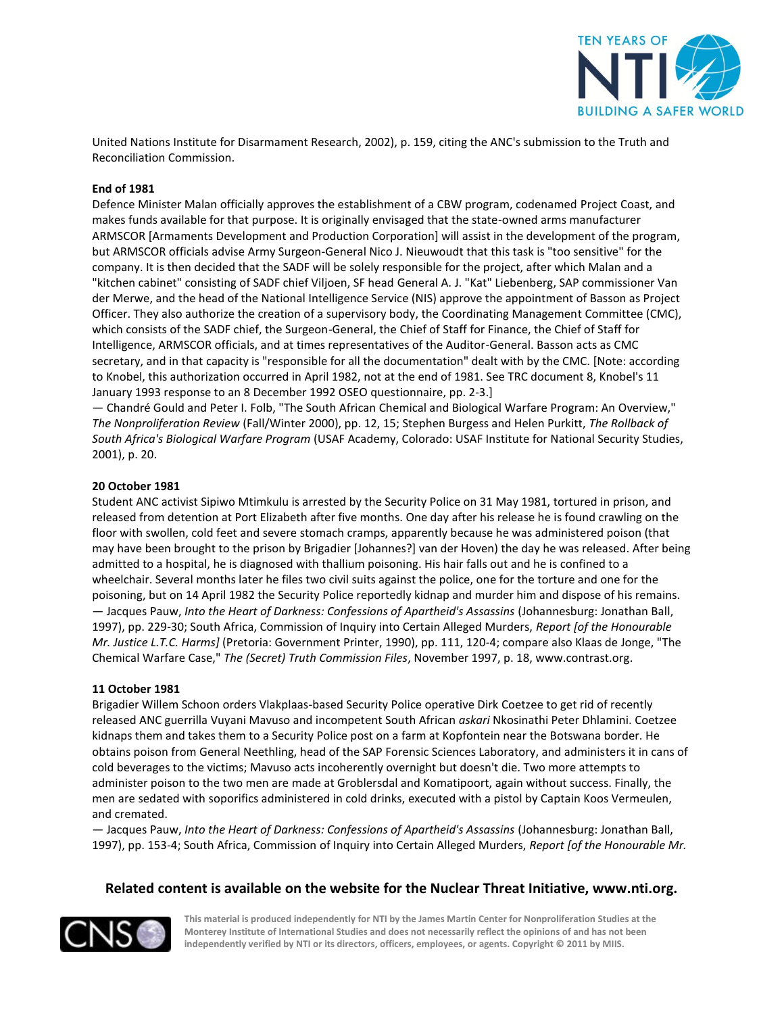

United Nations Institute for Disarmament Research, 2002), p. 159, citing the ANC's submission to the Truth and Reconciliation Commission.

## **End of 1981**

Defence Minister Malan officially approves the establishment of a CBW program, codenamed Project Coast, and makes funds available for that purpose. It is originally envisaged that the state-owned arms manufacturer ARMSCOR [Armaments Development and Production Corporation] will assist in the development of the program, but ARMSCOR officials advise Army Surgeon-General Nico J. Nieuwoudt that this task is "too sensitive" for the company. It is then decided that the SADF will be solely responsible for the project, after which Malan and a "kitchen cabinet" consisting of SADF chief Viljoen, SF head General A. J. "Kat" Liebenberg, SAP commissioner Van der Merwe, and the head of the National Intelligence Service (NIS) approve the appointment of Basson as Project Officer. They also authorize the creation of a supervisory body, the Coordinating Management Committee (CMC), which consists of the SADF chief, the Surgeon-General, the Chief of Staff for Finance, the Chief of Staff for Intelligence, ARMSCOR officials, and at times representatives of the Auditor-General. Basson acts as CMC secretary, and in that capacity is "responsible for all the documentation" dealt with by the CMC. [Note: according to Knobel, this authorization occurred in April 1982, not at the end of 1981. See TRC document 8, Knobel's 11 January 1993 response to an 8 December 1992 OSEO questionnaire, pp. 2-3.]

— Chandré Gould and Peter I. Folb, "The South African Chemical and Biological Warfare Program: An Overview," *The Nonproliferation Review* (Fall/Winter 2000), pp. 12, 15; Stephen Burgess and Helen Purkitt, *The Rollback of South Africa's Biological Warfare Program* (USAF Academy, Colorado: USAF Institute for National Security Studies, 2001), p. 20.

#### **20 October 1981**

Student ANC activist Sipiwo Mtimkulu is arrested by the Security Police on 31 May 1981, tortured in prison, and released from detention at Port Elizabeth after five months. One day after his release he is found crawling on the floor with swollen, cold feet and severe stomach cramps, apparently because he was administered poison (that may have been brought to the prison by Brigadier [Johannes?] van der Hoven) the day he was released. After being admitted to a hospital, he is diagnosed with thallium poisoning. His hair falls out and he is confined to a wheelchair. Several months later he files two civil suits against the police, one for the torture and one for the poisoning, but on 14 April 1982 the Security Police reportedly kidnap and murder him and dispose of his remains. — Jacques Pauw, *Into the Heart of Darkness: Confessions of Apartheid's Assassins* (Johannesburg: Jonathan Ball, 1997), pp. 229-30; South Africa, Commission of Inquiry into Certain Alleged Murders, *Report [of the Honourable Mr. Justice L.T.C. Harms]* (Pretoria: Government Printer, 1990), pp. 111, 120-4; compare also Klaas de Jonge, "The Chemical Warfare Case," *The (Secret) Truth Commission Files*, November 1997, p. 18, www.contrast.org.

#### **11 October 1981**

Brigadier Willem Schoon orders Vlakplaas-based Security Police operative Dirk Coetzee to get rid of recently released ANC guerrilla Vuyani Mavuso and incompetent South African *askari* Nkosinathi Peter Dhlamini. Coetzee kidnaps them and takes them to a Security Police post on a farm at Kopfontein near the Botswana border. He obtains poison from General Neethling, head of the SAP Forensic Sciences Laboratory, and administers it in cans of cold beverages to the victims; Mavuso acts incoherently overnight but doesn't die. Two more attempts to administer poison to the two men are made at Groblersdal and Komatipoort, again without success. Finally, the men are sedated with soporifics administered in cold drinks, executed with a pistol by Captain Koos Vermeulen, and cremated.

— Jacques Pauw, *Into the Heart of Darkness: Confessions of Apartheid's Assassins* (Johannesburg: Jonathan Ball, 1997), pp. 153-4; South Africa, Commission of Inquiry into Certain Alleged Murders, *Report [of the Honourable Mr.* 

## **Related content is available on the website for the Nuclear Threat Initiative, www.nti.org.**

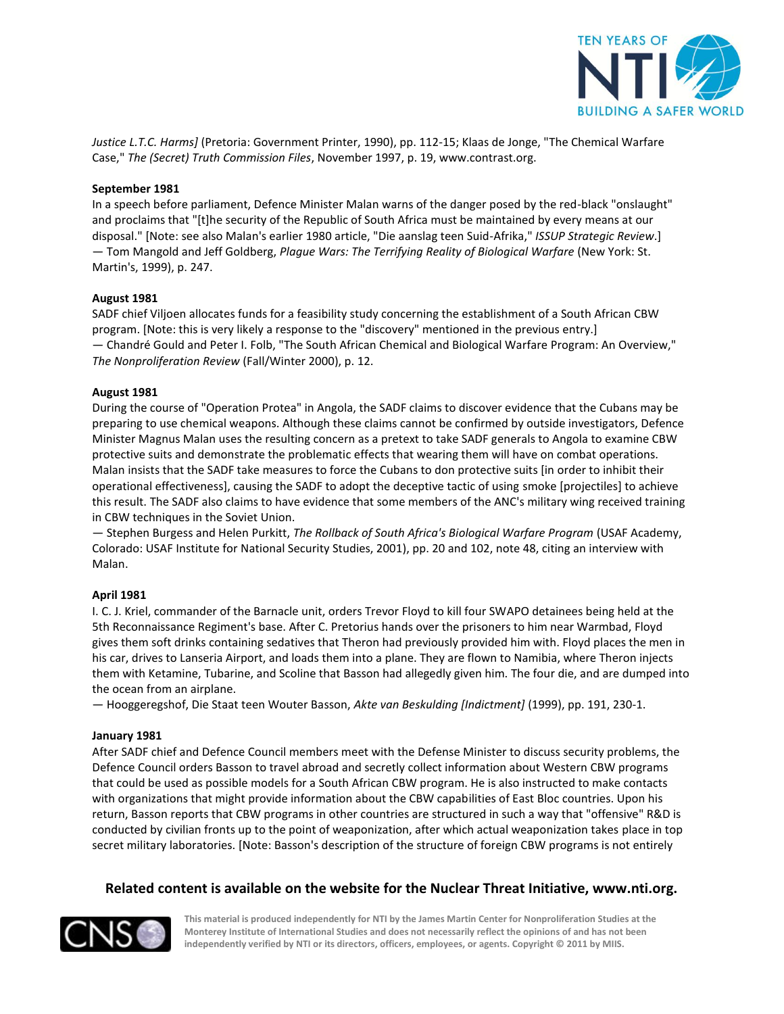

*Justice L.T.C. Harms]* (Pretoria: Government Printer, 1990), pp. 112-15; Klaas de Jonge, "The Chemical Warfare Case," *The (Secret) Truth Commission Files*, November 1997, p. 19, www.contrast.org.

## **September 1981**

In a speech before parliament, Defence Minister Malan warns of the danger posed by the red-black "onslaught" and proclaims that "[t]he security of the Republic of South Africa must be maintained by every means at our disposal." [Note: see also Malan's earlier 1980 article, "Die aanslag teen Suid-Afrika," *ISSUP Strategic Review*.] — Tom Mangold and Jeff Goldberg, *Plague Wars: The Terrifying Reality of Biological Warfare* (New York: St. Martin's, 1999), p. 247.

#### **August 1981**

SADF chief Viljoen allocates funds for a feasibility study concerning the establishment of a South African CBW program. [Note: this is very likely a response to the "discovery" mentioned in the previous entry.] — Chandré Gould and Peter I. Folb, "The South African Chemical and Biological Warfare Program: An Overview," *The Nonproliferation Review* (Fall/Winter 2000), p. 12.

#### **August 1981**

During the course of "Operation Protea" in Angola, the SADF claims to discover evidence that the Cubans may be preparing to use chemical weapons. Although these claims cannot be confirmed by outside investigators, Defence Minister Magnus Malan uses the resulting concern as a pretext to take SADF generals to Angola to examine CBW protective suits and demonstrate the problematic effects that wearing them will have on combat operations. Malan insists that the SADF take measures to force the Cubans to don protective suits [in order to inhibit their operational effectiveness], causing the SADF to adopt the deceptive tactic of using smoke [projectiles] to achieve this result. The SADF also claims to have evidence that some members of the ANC's military wing received training in CBW techniques in the Soviet Union.

— Stephen Burgess and Helen Purkitt, *The Rollback of South Africa's Biological Warfare Program* (USAF Academy, Colorado: USAF Institute for National Security Studies, 2001), pp. 20 and 102, note 48, citing an interview with Malan.

#### **April 1981**

I. C. J. Kriel, commander of the Barnacle unit, orders Trevor Floyd to kill four SWAPO detainees being held at the 5th Reconnaissance Regiment's base. After C. Pretorius hands over the prisoners to him near Warmbad, Floyd gives them soft drinks containing sedatives that Theron had previously provided him with. Floyd places the men in his car, drives to Lanseria Airport, and loads them into a plane. They are flown to Namibia, where Theron injects them with Ketamine, Tubarine, and Scoline that Basson had allegedly given him. The four die, and are dumped into the ocean from an airplane.

— Hooggeregshof, Die Staat teen Wouter Basson, *Akte van Beskulding [Indictment]* (1999), pp. 191, 230-1.

#### **January 1981**

After SADF chief and Defence Council members meet with the Defense Minister to discuss security problems, the Defence Council orders Basson to travel abroad and secretly collect information about Western CBW programs that could be used as possible models for a South African CBW program. He is also instructed to make contacts with organizations that might provide information about the CBW capabilities of East Bloc countries. Upon his return, Basson reports that CBW programs in other countries are structured in such a way that "offensive" R&D is conducted by civilian fronts up to the point of weaponization, after which actual weaponization takes place in top secret military laboratories. [Note: Basson's description of the structure of foreign CBW programs is not entirely

## **Related content is available on the website for the Nuclear Threat Initiative, www.nti.org.**

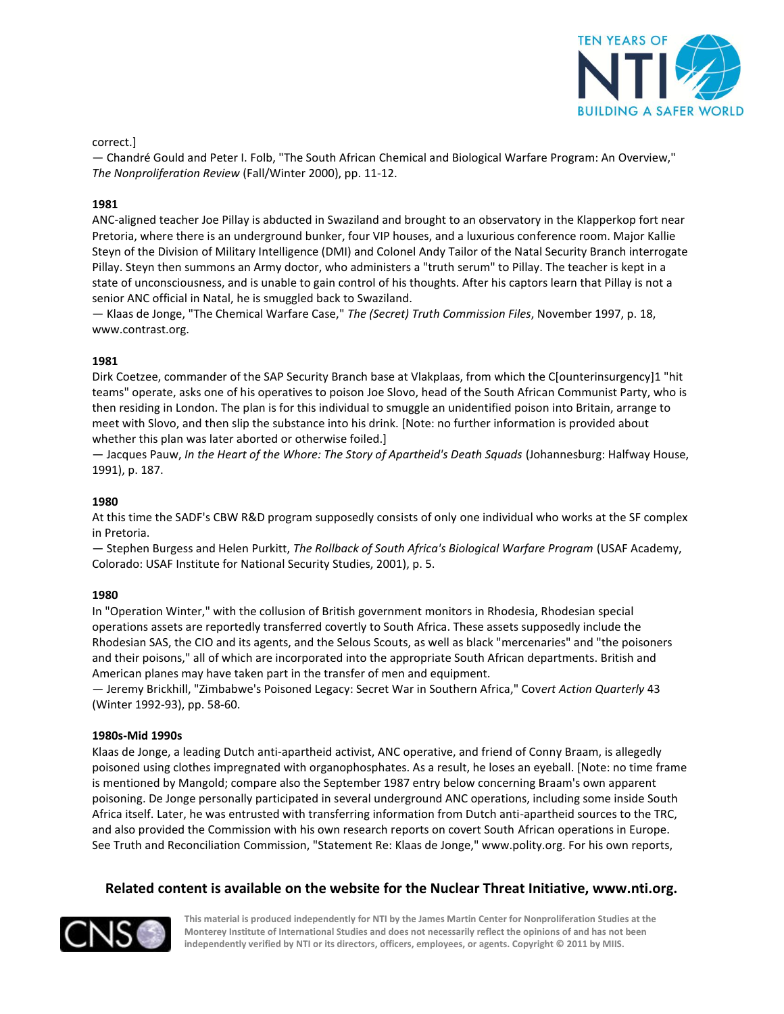

correct.]

— Chandré Gould and Peter I. Folb, "The South African Chemical and Biological Warfare Program: An Overview," *The Nonproliferation Review* (Fall/Winter 2000), pp. 11-12.

## **1981**

ANC-aligned teacher Joe Pillay is abducted in Swaziland and brought to an observatory in the Klapperkop fort near Pretoria, where there is an underground bunker, four VIP houses, and a luxurious conference room. Major Kallie Steyn of the Division of Military Intelligence (DMI) and Colonel Andy Tailor of the Natal Security Branch interrogate Pillay. Steyn then summons an Army doctor, who administers a "truth serum" to Pillay. The teacher is kept in a state of unconsciousness, and is unable to gain control of his thoughts. After his captors learn that Pillay is not a senior ANC official in Natal, he is smuggled back to Swaziland.

— Klaas de Jonge, "The Chemical Warfare Case," *The (Secret) Truth Commission Files*, November 1997, p. 18, www.contrast.org.

#### **1981**

Dirk Coetzee, commander of the SAP Security Branch base at Vlakplaas, from which the C[ounterinsurgency]1 "hit teams" operate, asks one of his operatives to poison Joe Slovo, head of the South African Communist Party, who is then residing in London. The plan is for this individual to smuggle an unidentified poison into Britain, arrange to meet with Slovo, and then slip the substance into his drink. [Note: no further information is provided about whether this plan was later aborted or otherwise foiled.]

— Jacques Pauw, *In the Heart of the Whore: The Story of Apartheid's Death Squads* (Johannesburg: Halfway House, 1991), p. 187.

#### **1980**

At this time the SADF's CBW R&D program supposedly consists of only one individual who works at the SF complex in Pretoria.

— Stephen Burgess and Helen Purkitt, *The Rollback of South Africa's Biological Warfare Program* (USAF Academy, Colorado: USAF Institute for National Security Studies, 2001), p. 5.

#### **1980**

In "Operation Winter," with the collusion of British government monitors in Rhodesia, Rhodesian special operations assets are reportedly transferred covertly to South Africa. These assets supposedly include the Rhodesian SAS, the CIO and its agents, and the Selous Scouts, as well as black "mercenaries" and "the poisoners and their poisons," all of which are incorporated into the appropriate South African departments. British and American planes may have taken part in the transfer of men and equipment.

— Jeremy Brickhill, "Zimbabwe's Poisoned Legacy: Secret War in Southern Africa," Cov*ert Action Quarterly* 43 (Winter 1992-93), pp. 58-60.

#### **1980s-Mid 1990s**

Klaas de Jonge, a leading Dutch anti-apartheid activist, ANC operative, and friend of Conny Braam, is allegedly poisoned using clothes impregnated with organophosphates. As a result, he loses an eyeball. [Note: no time frame is mentioned by Mangold; compare also the September 1987 entry below concerning Braam's own apparent poisoning. De Jonge personally participated in several underground ANC operations, including some inside South Africa itself. Later, he was entrusted with transferring information from Dutch anti-apartheid sources to the TRC, and also provided the Commission with his own research reports on covert South African operations in Europe. See Truth and Reconciliation Commission, "Statement Re: Klaas de Jonge," www.polity.org. For his own reports,

## **Related content is available on the website for the Nuclear Threat Initiative, www.nti.org.**

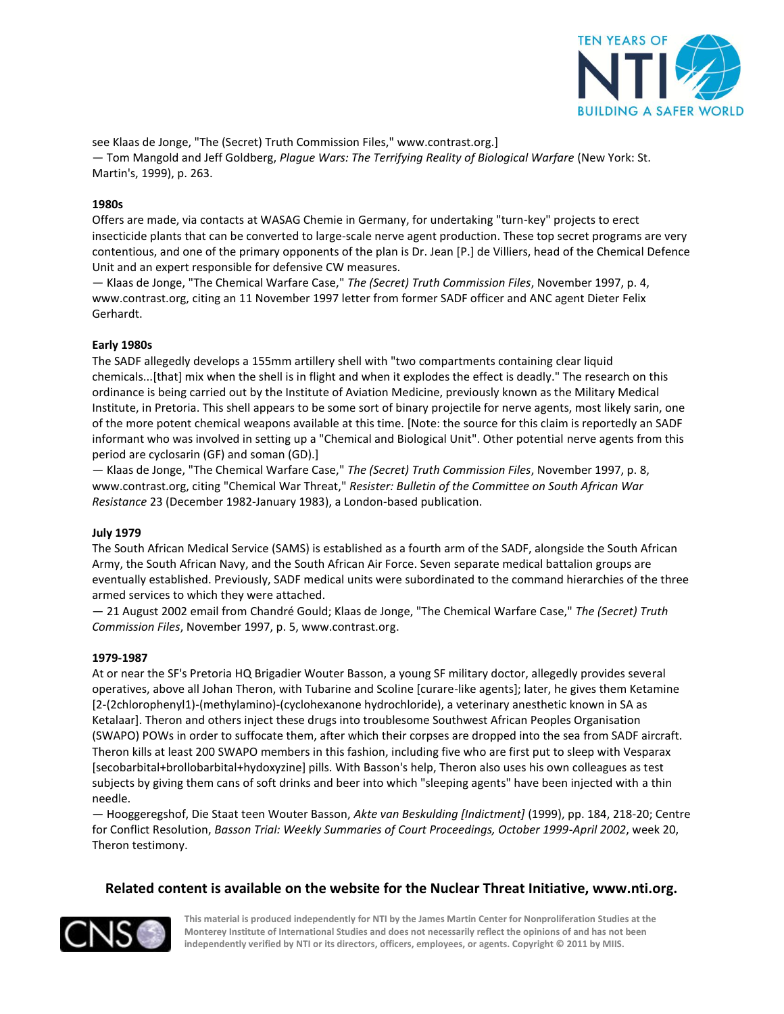

see Klaas de Jonge, "The (Secret) Truth Commission Files," www.contrast.org.] — Tom Mangold and Jeff Goldberg, *Plague Wars: The Terrifying Reality of Biological Warfare* (New York: St. Martin's, 1999), p. 263.

## **1980s**

Offers are made, via contacts at WASAG Chemie in Germany, for undertaking "turn-key" projects to erect insecticide plants that can be converted to large-scale nerve agent production. These top secret programs are very contentious, and one of the primary opponents of the plan is Dr. Jean [P.] de Villiers, head of the Chemical Defence Unit and an expert responsible for defensive CW measures.

— Klaas de Jonge, "The Chemical Warfare Case," *The (Secret) Truth Commission Files*, November 1997, p. 4, www.contrast.org, citing an 11 November 1997 letter from former SADF officer and ANC agent Dieter Felix Gerhardt.

#### **Early 1980s**

The SADF allegedly develops a 155mm artillery shell with "two compartments containing clear liquid chemicals...[that] mix when the shell is in flight and when it explodes the effect is deadly." The research on this ordinance is being carried out by the Institute of Aviation Medicine, previously known as the Military Medical Institute, in Pretoria. This shell appears to be some sort of binary projectile for nerve agents, most likely sarin, one of the more potent chemical weapons available at this time. [Note: the source for this claim is reportedly an SADF informant who was involved in setting up a "Chemical and Biological Unit". Other potential nerve agents from this period are cyclosarin (GF) and soman (GD).]

— Klaas de Jonge, "The Chemical Warfare Case," *The (Secret) Truth Commission Files*, November 1997, p. 8, www.contrast.org, citing "Chemical War Threat," *Resister: Bulletin of the Committee on South African War Resistance* 23 (December 1982-January 1983), a London-based publication.

#### **July 1979**

The South African Medical Service (SAMS) is established as a fourth arm of the SADF, alongside the South African Army, the South African Navy, and the South African Air Force. Seven separate medical battalion groups are eventually established. Previously, SADF medical units were subordinated to the command hierarchies of the three armed services to which they were attached.

— 21 August 2002 email from Chandré Gould; Klaas de Jonge, "The Chemical Warfare Case," *The (Secret) Truth Commission Files*, November 1997, p. 5, www.contrast.org.

#### **1979-1987**

At or near the SF's Pretoria HQ Brigadier Wouter Basson, a young SF military doctor, allegedly provides several operatives, above all Johan Theron, with Tubarine and Scoline [curare-like agents]; later, he gives them Ketamine [2-(2chlorophenyl1)-(methylamino)-(cyclohexanone hydrochloride), a veterinary anesthetic known in SA as Ketalaar]. Theron and others inject these drugs into troublesome Southwest African Peoples Organisation (SWAPO) POWs in order to suffocate them, after which their corpses are dropped into the sea from SADF aircraft. Theron kills at least 200 SWAPO members in this fashion, including five who are first put to sleep with Vesparax [secobarbital+brollobarbital+hydoxyzine] pills. With Basson's help, Theron also uses his own colleagues as test subjects by giving them cans of soft drinks and beer into which "sleeping agents" have been injected with a thin needle.

— Hooggeregshof, Die Staat teen Wouter Basson, *Akte van Beskulding [Indictment]* (1999), pp. 184, 218-20; Centre for Conflict Resolution, *Basson Trial: Weekly Summaries of Court Proceedings, October 1999-April 2002*, week 20, Theron testimony.

## **Related content is available on the website for the Nuclear Threat Initiative, www.nti.org.**

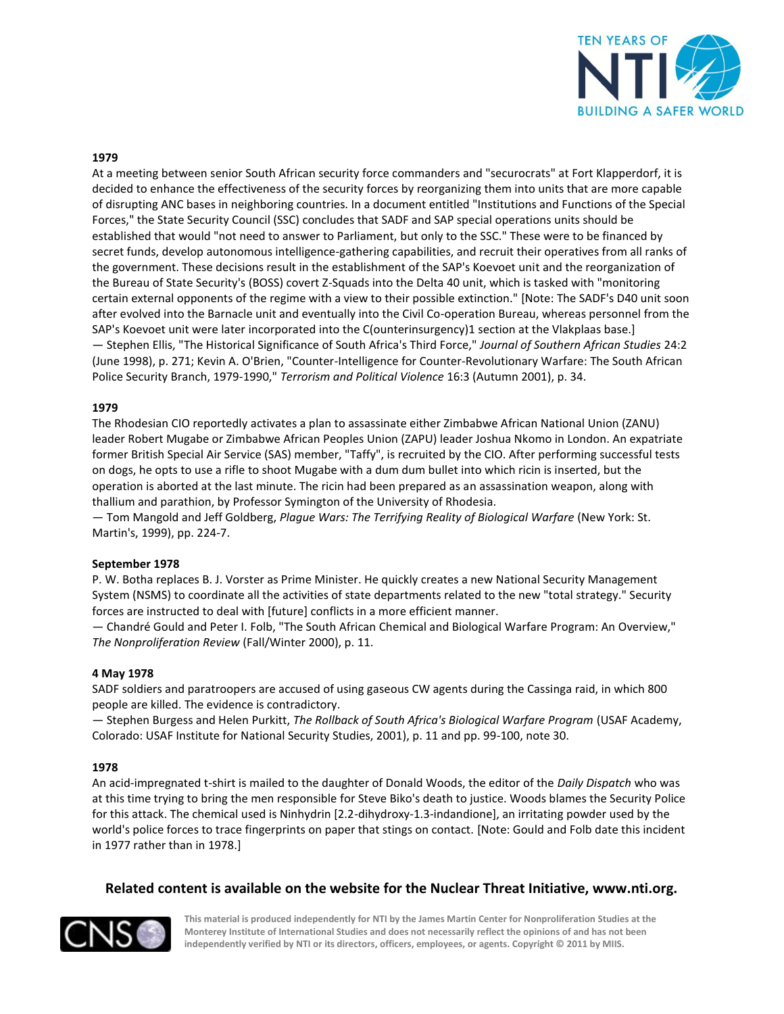

#### **1979**

At a meeting between senior South African security force commanders and "securocrats" at Fort Klapperdorf, it is decided to enhance the effectiveness of the security forces by reorganizing them into units that are more capable of disrupting ANC bases in neighboring countries. In a document entitled "Institutions and Functions of the Special Forces," the State Security Council (SSC) concludes that SADF and SAP special operations units should be established that would "not need to answer to Parliament, but only to the SSC." These were to be financed by secret funds, develop autonomous intelligence-gathering capabilities, and recruit their operatives from all ranks of the government. These decisions result in the establishment of the SAP's Koevoet unit and the reorganization of the Bureau of State Security's (BOSS) covert Z-Squads into the Delta 40 unit, which is tasked with "monitoring certain external opponents of the regime with a view to their possible extinction." [Note: The SADF's D40 unit soon after evolved into the Barnacle unit and eventually into the Civil Co-operation Bureau, whereas personnel from the SAP's Koevoet unit were later incorporated into the C(ounterinsurgency)1 section at the Vlakplaas base.] — Stephen Ellis, "The Historical Significance of South Africa's Third Force," *Journal of Southern African Studies* 24:2 (June 1998), p. 271; Kevin A. O'Brien, "Counter-Intelligence for Counter-Revolutionary Warfare: The South African Police Security Branch, 1979-1990," *Terrorism and Political Violence* 16:3 (Autumn 2001), p. 34.

#### **1979**

The Rhodesian CIO reportedly activates a plan to assassinate either Zimbabwe African National Union (ZANU) leader Robert Mugabe or Zimbabwe African Peoples Union (ZAPU) leader Joshua Nkomo in London. An expatriate former British Special Air Service (SAS) member, "Taffy", is recruited by the CIO. After performing successful tests on dogs, he opts to use a rifle to shoot Mugabe with a dum dum bullet into which ricin is inserted, but the operation is aborted at the last minute. The ricin had been prepared as an assassination weapon, along with thallium and parathion, by Professor Symington of the University of Rhodesia.

— Tom Mangold and Jeff Goldberg, *Plague Wars: The Terrifying Reality of Biological Warfare* (New York: St. Martin's, 1999), pp. 224-7.

#### **September 1978**

P. W. Botha replaces B. J. Vorster as Prime Minister. He quickly creates a new National Security Management System (NSMS) to coordinate all the activities of state departments related to the new "total strategy." Security forces are instructed to deal with [future] conflicts in a more efficient manner.

— Chandré Gould and Peter I. Folb, "The South African Chemical and Biological Warfare Program: An Overview," *The Nonproliferation Review* (Fall/Winter 2000), p. 11.

#### **4 May 1978**

SADF soldiers and paratroopers are accused of using gaseous CW agents during the Cassinga raid, in which 800 people are killed. The evidence is contradictory.

— Stephen Burgess and Helen Purkitt, *The Rollback of South Africa's Biological Warfare Program* (USAF Academy, Colorado: USAF Institute for National Security Studies, 2001), p. 11 and pp. 99-100, note 30.

#### **1978**

An acid-impregnated t-shirt is mailed to the daughter of Donald Woods, the editor of the *Daily Dispatch* who was at this time trying to bring the men responsible for Steve Biko's death to justice. Woods blames the Security Police for this attack. The chemical used is Ninhydrin [2.2-dihydroxy-1.3-indandione], an irritating powder used by the world's police forces to trace fingerprints on paper that stings on contact. [Note: Gould and Folb date this incident in 1977 rather than in 1978.]

## **Related content is available on the website for the Nuclear Threat Initiative, www.nti.org.**

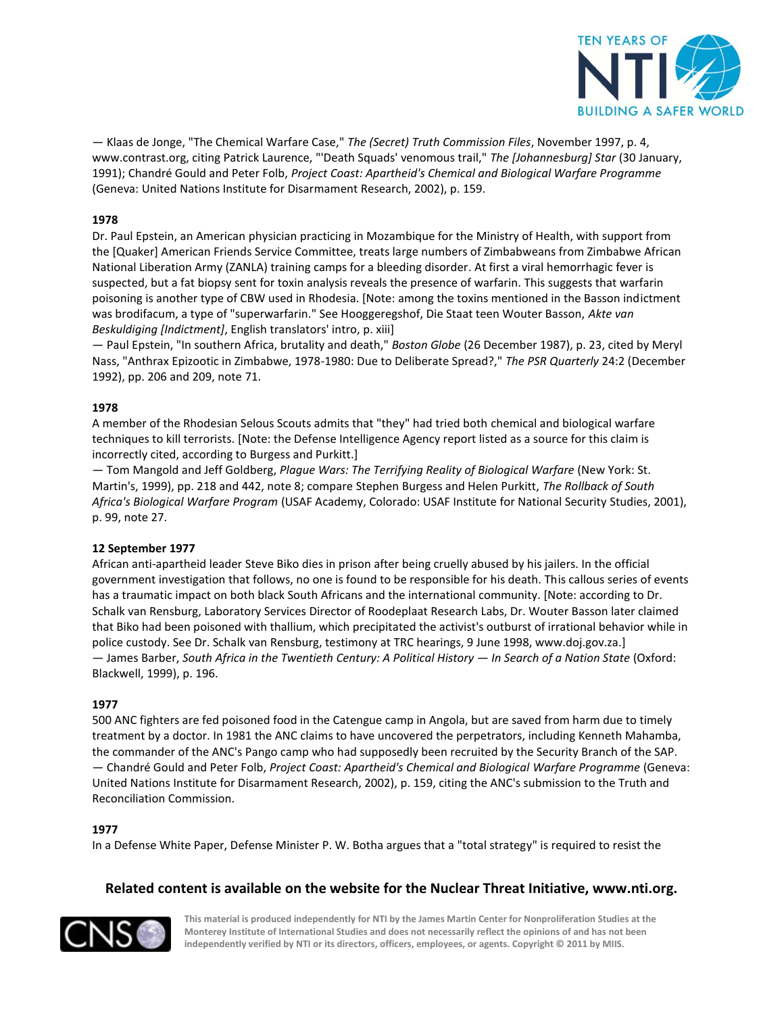

— Klaas de Jonge, "The Chemical Warfare Case," *The (Secret) Truth Commission Files*, November 1997, p. 4, www.contrast.org, citing Patrick Laurence, "'Death Squads' venomous trail," *The [Johannesburg] Star* (30 January, 1991); Chandré Gould and Peter Folb, *Project Coast: Apartheid's Chemical and Biological Warfare Programme*  (Geneva: United Nations Institute for Disarmament Research, 2002), p. 159.

## **1978**

Dr. Paul Epstein, an American physician practicing in Mozambique for the Ministry of Health, with support from the [Quaker] American Friends Service Committee, treats large numbers of Zimbabweans from Zimbabwe African National Liberation Army (ZANLA) training camps for a bleeding disorder. At first a viral hemorrhagic fever is suspected, but a fat biopsy sent for toxin analysis reveals the presence of warfarin. This suggests that warfarin poisoning is another type of CBW used in Rhodesia. [Note: among the toxins mentioned in the Basson indictment was brodifacum, a type of "superwarfarin." See Hooggeregshof, Die Staat teen Wouter Basson, *Akte van Beskuldiging [Indictment]*, English translators' intro, p. xiii]

— Paul Epstein, "In southern Africa, brutality and death," *Boston Globe* (26 December 1987), p. 23, cited by Meryl Nass, "Anthrax Epizootic in Zimbabwe, 1978-1980: Due to Deliberate Spread?," *The PSR Quarterly* 24:2 (December 1992), pp. 206 and 209, note 71.

## **1978**

A member of the Rhodesian Selous Scouts admits that "they" had tried both chemical and biological warfare techniques to kill terrorists. [Note: the Defense Intelligence Agency report listed as a source for this claim is incorrectly cited, according to Burgess and Purkitt.]

— Tom Mangold and Jeff Goldberg, *Plague Wars: The Terrifying Reality of Biological Warfare* (New York: St. Martin's, 1999), pp. 218 and 442, note 8; compare Stephen Burgess and Helen Purkitt, *The Rollback of South Africa's Biological Warfare Program* (USAF Academy, Colorado: USAF Institute for National Security Studies, 2001), p. 99, note 27.

## **12 September 1977**

African anti-apartheid leader Steve Biko dies in prison after being cruelly abused by his jailers. In the official government investigation that follows, no one is found to be responsible for his death. This callous series of events has a traumatic impact on both black South Africans and the international community. [Note: according to Dr. Schalk van Rensburg, Laboratory Services Director of Roodeplaat Research Labs, Dr. Wouter Basson later claimed that Biko had been poisoned with thallium, which precipitated the activist's outburst of irrational behavior while in police custody. See Dr. Schalk van Rensburg, testimony at TRC hearings, 9 June 1998, www.doj.gov.za.] — James Barber, *South Africa in the Twentieth Century: A Political History — In Search of a Nation State* (Oxford: Blackwell, 1999), p. 196.

## **1977**

500 ANC fighters are fed poisoned food in the Catengue camp in Angola, but are saved from harm due to timely treatment by a doctor. In 1981 the ANC claims to have uncovered the perpetrators, including Kenneth Mahamba, the commander of the ANC's Pango camp who had supposedly been recruited by the Security Branch of the SAP. — Chandré Gould and Peter Folb, *Project Coast: Apartheid's Chemical and Biological Warfare Programme* (Geneva: United Nations Institute for Disarmament Research, 2002), p. 159, citing the ANC's submission to the Truth and Reconciliation Commission.

## **1977**

In a Defense White Paper, Defense Minister P. W. Botha argues that a "total strategy" is required to resist the

## **Related content is available on the website for the Nuclear Threat Initiative, www.nti.org.**

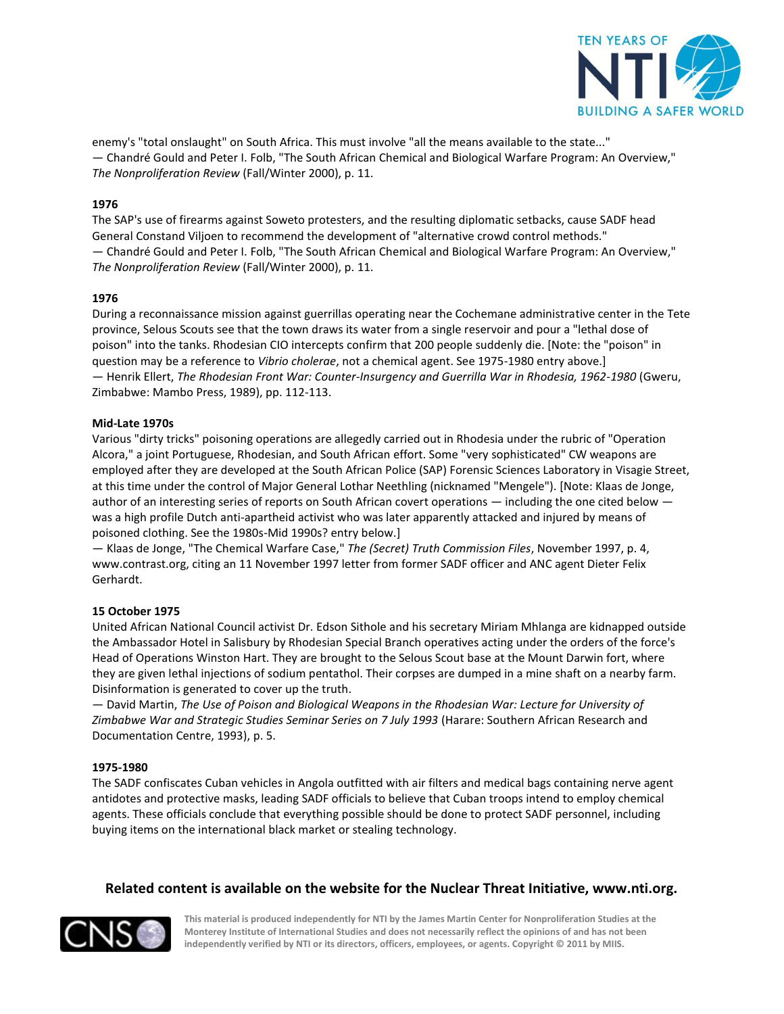

enemy's "total onslaught" on South Africa. This must involve "all the means available to the state..." — Chandré Gould and Peter I. Folb, "The South African Chemical and Biological Warfare Program: An Overview," *The Nonproliferation Review* (Fall/Winter 2000), p. 11.

## **1976**

The SAP's use of firearms against Soweto protesters, and the resulting diplomatic setbacks, cause SADF head General Constand Viljoen to recommend the development of "alternative crowd control methods." — Chandré Gould and Peter I. Folb, "The South African Chemical and Biological Warfare Program: An Overview," *The Nonproliferation Review* (Fall/Winter 2000), p. 11.

## **1976**

During a reconnaissance mission against guerrillas operating near the Cochemane administrative center in the Tete province, Selous Scouts see that the town draws its water from a single reservoir and pour a "lethal dose of poison" into the tanks. Rhodesian CIO intercepts confirm that 200 people suddenly die. [Note: the "poison" in question may be a reference to *Vibrio cholerae*, not a chemical agent. See 1975-1980 entry above.] — Henrik Ellert, *The Rhodesian Front War: Counter-Insurgency and Guerrilla War in Rhodesia, 1962-1980* (Gweru, Zimbabwe: Mambo Press, 1989), pp. 112-113.

## **Mid-Late 1970s**

Various "dirty tricks" poisoning operations are allegedly carried out in Rhodesia under the rubric of "Operation Alcora," a joint Portuguese, Rhodesian, and South African effort. Some "very sophisticated" CW weapons are employed after they are developed at the South African Police (SAP) Forensic Sciences Laboratory in Visagie Street, at this time under the control of Major General Lothar Neethling (nicknamed "Mengele"). [Note: Klaas de Jonge, author of an interesting series of reports on South African covert operations — including the one cited below was a high profile Dutch anti-apartheid activist who was later apparently attacked and injured by means of poisoned clothing. See the 1980s-Mid 1990s? entry below.]

— Klaas de Jonge, "The Chemical Warfare Case," *The (Secret) Truth Commission Files*, November 1997, p. 4, www.contrast.org, citing an 11 November 1997 letter from former SADF officer and ANC agent Dieter Felix Gerhardt.

## **15 October 1975**

United African National Council activist Dr. Edson Sithole and his secretary Miriam Mhlanga are kidnapped outside the Ambassador Hotel in Salisbury by Rhodesian Special Branch operatives acting under the orders of the force's Head of Operations Winston Hart. They are brought to the Selous Scout base at the Mount Darwin fort, where they are given lethal injections of sodium pentathol. Their corpses are dumped in a mine shaft on a nearby farm. Disinformation is generated to cover up the truth.

— David Martin, *The Use of Poison and Biological Weapons in the Rhodesian War: Lecture for University of Zimbabwe War and Strategic Studies Seminar Series on 7 July 1993* (Harare: Southern African Research and Documentation Centre, 1993), p. 5.

## **1975-1980**

The SADF confiscates Cuban vehicles in Angola outfitted with air filters and medical bags containing nerve agent antidotes and protective masks, leading SADF officials to believe that Cuban troops intend to employ chemical agents. These officials conclude that everything possible should be done to protect SADF personnel, including buying items on the international black market or stealing technology.

## **Related content is available on the website for the Nuclear Threat Initiative, www.nti.org.**

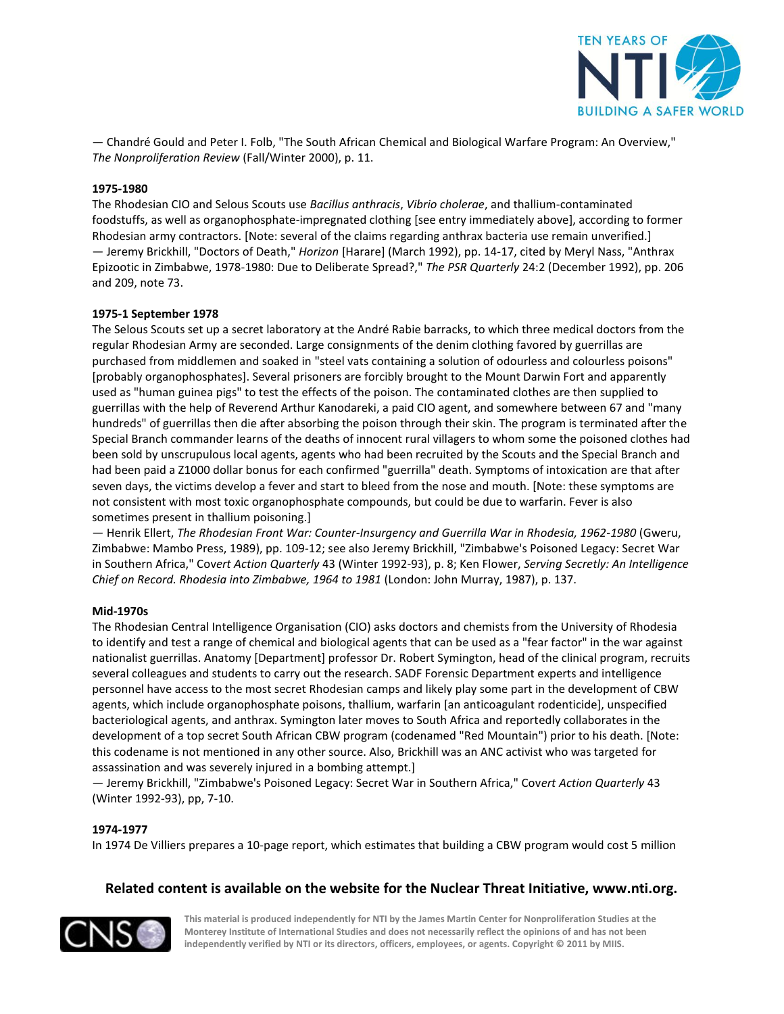

— Chandré Gould and Peter I. Folb, "The South African Chemical and Biological Warfare Program: An Overview," *The Nonproliferation Review* (Fall/Winter 2000), p. 11.

## **1975-1980**

The Rhodesian CIO and Selous Scouts use *Bacillus anthracis*, *Vibrio cholerae*, and thallium-contaminated foodstuffs, as well as organophosphate-impregnated clothing [see entry immediately above], according to former Rhodesian army contractors. [Note: several of the claims regarding anthrax bacteria use remain unverified.] — Jeremy Brickhill, "Doctors of Death," *Horizon* [Harare] (March 1992), pp. 14-17, cited by Meryl Nass, "Anthrax Epizootic in Zimbabwe, 1978-1980: Due to Deliberate Spread?," *The PSR Quarterly* 24:2 (December 1992), pp. 206 and 209, note 73.

#### **1975-1 September 1978**

The Selous Scouts set up a secret laboratory at the André Rabie barracks, to which three medical doctors from the regular Rhodesian Army are seconded. Large consignments of the denim clothing favored by guerrillas are purchased from middlemen and soaked in "steel vats containing a solution of odourless and colourless poisons" [probably organophosphates]. Several prisoners are forcibly brought to the Mount Darwin Fort and apparently used as "human guinea pigs" to test the effects of the poison. The contaminated clothes are then supplied to guerrillas with the help of Reverend Arthur Kanodareki, a paid CIO agent, and somewhere between 67 and "many hundreds" of guerrillas then die after absorbing the poison through their skin. The program is terminated after the Special Branch commander learns of the deaths of innocent rural villagers to whom some the poisoned clothes had been sold by unscrupulous local agents, agents who had been recruited by the Scouts and the Special Branch and had been paid a Z1000 dollar bonus for each confirmed "guerrilla" death. Symptoms of intoxication are that after seven days, the victims develop a fever and start to bleed from the nose and mouth. [Note: these symptoms are not consistent with most toxic organophosphate compounds, but could be due to warfarin. Fever is also sometimes present in thallium poisoning.]

— Henrik Ellert, *The Rhodesian Front War: Counter-Insurgency and Guerrilla War in Rhodesia, 1962-1980* (Gweru, Zimbabwe: Mambo Press, 1989), pp. 109-12; see also Jeremy Brickhill, "Zimbabwe's Poisoned Legacy: Secret War in Southern Africa," Cov*ert Action Quarterly* 43 (Winter 1992-93), p. 8; Ken Flower, *Serving Secretly: An Intelligence Chief on Record. Rhodesia into Zimbabwe, 1964 to 1981* (London: John Murray, 1987), p. 137.

#### **Mid-1970s**

The Rhodesian Central Intelligence Organisation (CIO) asks doctors and chemists from the University of Rhodesia to identify and test a range of chemical and biological agents that can be used as a "fear factor" in the war against nationalist guerrillas. Anatomy [Department] professor Dr. Robert Symington, head of the clinical program, recruits several colleagues and students to carry out the research. SADF Forensic Department experts and intelligence personnel have access to the most secret Rhodesian camps and likely play some part in the development of CBW agents, which include organophosphate poisons, thallium, warfarin [an anticoagulant rodenticide], unspecified bacteriological agents, and anthrax. Symington later moves to South Africa and reportedly collaborates in the development of a top secret South African CBW program (codenamed "Red Mountain") prior to his death. [Note: this codename is not mentioned in any other source. Also, Brickhill was an ANC activist who was targeted for assassination and was severely injured in a bombing attempt.]

— Jeremy Brickhill, "Zimbabwe's Poisoned Legacy: Secret War in Southern Africa," Cov*ert Action Quarterly* 43 (Winter 1992-93), pp, 7-10.

#### **1974-1977**

In 1974 De Villiers prepares a 10-page report, which estimates that building a CBW program would cost 5 million

## **Related content is available on the website for the Nuclear Threat Initiative, www.nti.org.**

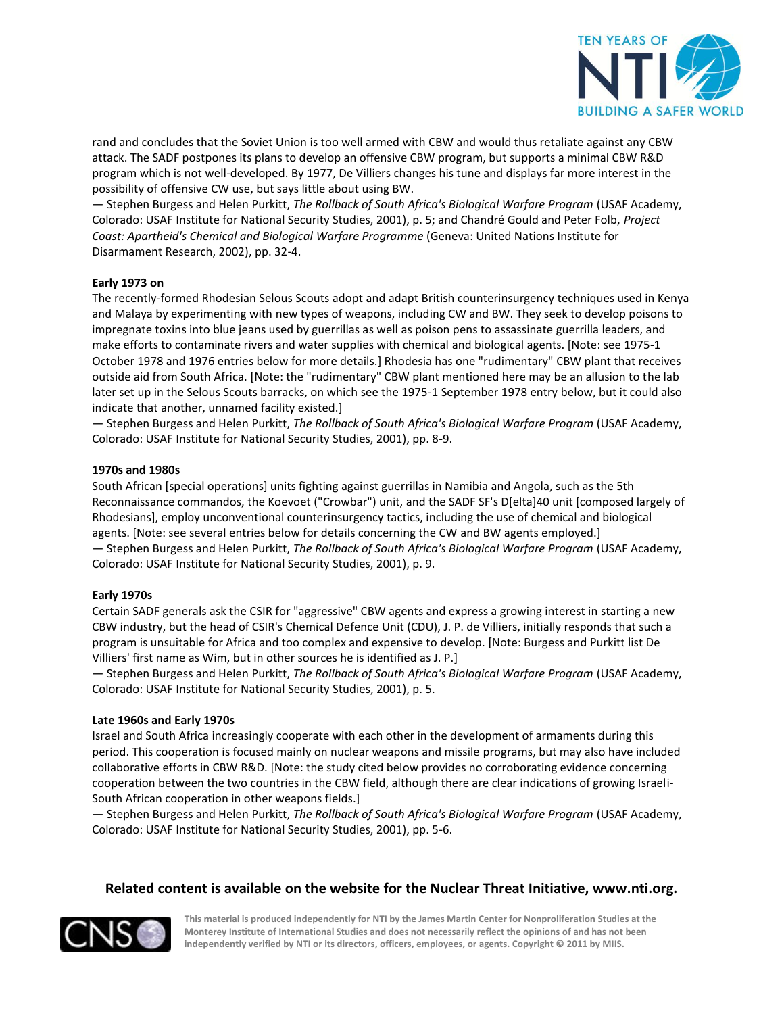

rand and concludes that the Soviet Union is too well armed with CBW and would thus retaliate against any CBW attack. The SADF postpones its plans to develop an offensive CBW program, but supports a minimal CBW R&D program which is not well-developed. By 1977, De Villiers changes his tune and displays far more interest in the possibility of offensive CW use, but says little about using BW.

— Stephen Burgess and Helen Purkitt, *The Rollback of South Africa's Biological Warfare Program* (USAF Academy, Colorado: USAF Institute for National Security Studies, 2001), p. 5; and Chandré Gould and Peter Folb, *Project Coast: Apartheid's Chemical and Biological Warfare Programme* (Geneva: United Nations Institute for Disarmament Research, 2002), pp. 32-4.

## **Early 1973 on**

The recently-formed Rhodesian Selous Scouts adopt and adapt British counterinsurgency techniques used in Kenya and Malaya by experimenting with new types of weapons, including CW and BW. They seek to develop poisons to impregnate toxins into blue jeans used by guerrillas as well as poison pens to assassinate guerrilla leaders, and make efforts to contaminate rivers and water supplies with chemical and biological agents. [Note: see 1975-1 October 1978 and 1976 entries below for more details.] Rhodesia has one "rudimentary" CBW plant that receives outside aid from South Africa. [Note: the "rudimentary" CBW plant mentioned here may be an allusion to the lab later set up in the Selous Scouts barracks, on which see the 1975-1 September 1978 entry below, but it could also indicate that another, unnamed facility existed.]

— Stephen Burgess and Helen Purkitt, *The Rollback of South Africa's Biological Warfare Program* (USAF Academy, Colorado: USAF Institute for National Security Studies, 2001), pp. 8-9.

## **1970s and 1980s**

South African [special operations] units fighting against guerrillas in Namibia and Angola, such as the 5th Reconnaissance commandos, the Koevoet ("Crowbar") unit, and the SADF SF's D[elta]40 unit [composed largely of Rhodesians], employ unconventional counterinsurgency tactics, including the use of chemical and biological agents. [Note: see several entries below for details concerning the CW and BW agents employed.] — Stephen Burgess and Helen Purkitt, *The Rollback of South Africa's Biological Warfare Program* (USAF Academy, Colorado: USAF Institute for National Security Studies, 2001), p. 9.

## **Early 1970s**

Certain SADF generals ask the CSIR for "aggressive" CBW agents and express a growing interest in starting a new CBW industry, but the head of CSIR's Chemical Defence Unit (CDU), J. P. de Villiers, initially responds that such a program is unsuitable for Africa and too complex and expensive to develop. [Note: Burgess and Purkitt list De Villiers' first name as Wim, but in other sources he is identified as J. P.]

— Stephen Burgess and Helen Purkitt, *The Rollback of South Africa's Biological Warfare Program* (USAF Academy, Colorado: USAF Institute for National Security Studies, 2001), p. 5.

## **Late 1960s and Early 1970s**

Israel and South Africa increasingly cooperate with each other in the development of armaments during this period. This cooperation is focused mainly on nuclear weapons and missile programs, but may also have included collaborative efforts in CBW R&D. [Note: the study cited below provides no corroborating evidence concerning cooperation between the two countries in the CBW field, although there are clear indications of growing Israeli-South African cooperation in other weapons fields.]

— Stephen Burgess and Helen Purkitt, *The Rollback of South Africa's Biological Warfare Program* (USAF Academy, Colorado: USAF Institute for National Security Studies, 2001), pp. 5-6.

## **Related content is available on the website for the Nuclear Threat Initiative, www.nti.org.**

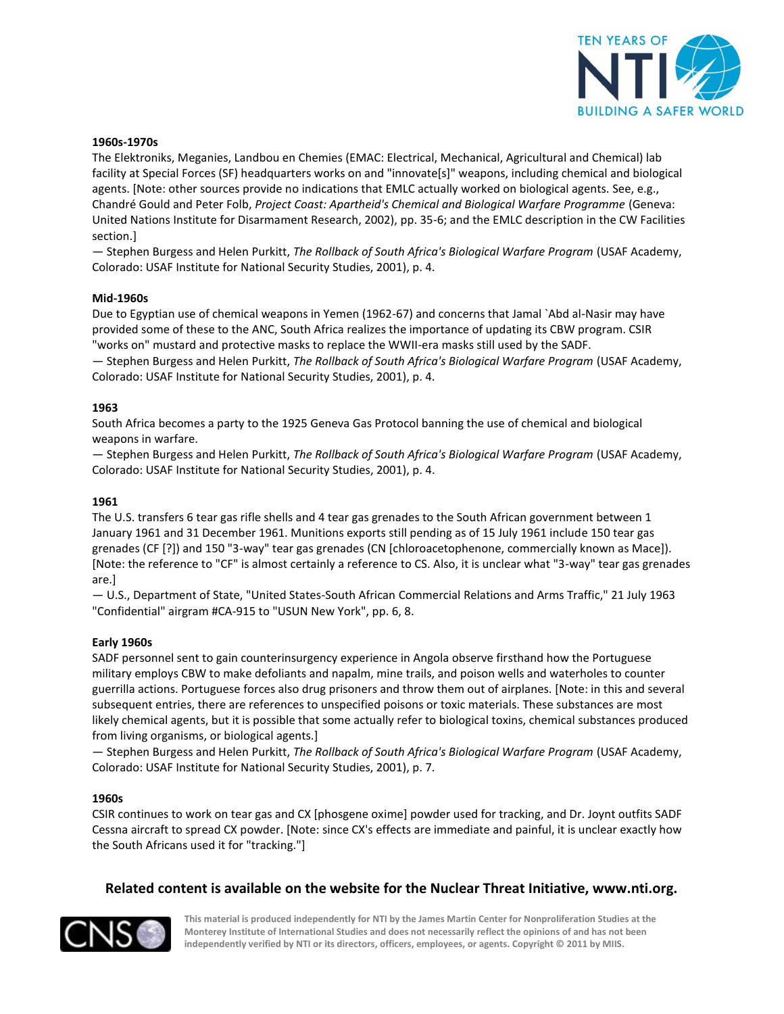

#### **1960s-1970s**

The Elektroniks, Meganies, Landbou en Chemies (EMAC: Electrical, Mechanical, Agricultural and Chemical) lab facility at Special Forces (SF) headquarters works on and "innovate[s]" weapons, including chemical and biological agents. [Note: other sources provide no indications that EMLC actually worked on biological agents. See, e.g., Chandré Gould and Peter Folb, *Project Coast: Apartheid's Chemical and Biological Warfare Programme* (Geneva: United Nations Institute for Disarmament Research, 2002), pp. 35-6; and the EMLC description in the CW Facilities section.]

— Stephen Burgess and Helen Purkitt, *The Rollback of South Africa's Biological Warfare Program* (USAF Academy, Colorado: USAF Institute for National Security Studies, 2001), p. 4.

#### **Mid-1960s**

Due to Egyptian use of chemical weapons in Yemen (1962-67) and concerns that Jamal `Abd al-Nasir may have provided some of these to the ANC, South Africa realizes the importance of updating its CBW program. CSIR "works on" mustard and protective masks to replace the WWII-era masks still used by the SADF.

— Stephen Burgess and Helen Purkitt, *The Rollback of South Africa's Biological Warfare Program* (USAF Academy, Colorado: USAF Institute for National Security Studies, 2001), p. 4.

#### **1963**

South Africa becomes a party to the 1925 Geneva Gas Protocol banning the use of chemical and biological weapons in warfare.

— Stephen Burgess and Helen Purkitt, *The Rollback of South Africa's Biological Warfare Program* (USAF Academy, Colorado: USAF Institute for National Security Studies, 2001), p. 4.

#### **1961**

The U.S. transfers 6 tear gas rifle shells and 4 tear gas grenades to the South African government between 1 January 1961 and 31 December 1961. Munitions exports still pending as of 15 July 1961 include 150 tear gas grenades (CF [?]) and 150 "3-way" tear gas grenades (CN [chloroacetophenone, commercially known as Mace]). [Note: the reference to "CF" is almost certainly a reference to CS. Also, it is unclear what "3-way" tear gas grenades are.]

— U.S., Department of State, "United States-South African Commercial Relations and Arms Traffic," 21 July 1963 "Confidential" airgram #CA-915 to "USUN New York", pp. 6, 8.

#### **Early 1960s**

SADF personnel sent to gain counterinsurgency experience in Angola observe firsthand how the Portuguese military employs CBW to make defoliants and napalm, mine trails, and poison wells and waterholes to counter guerrilla actions. Portuguese forces also drug prisoners and throw them out of airplanes. [Note: in this and several subsequent entries, there are references to unspecified poisons or toxic materials. These substances are most likely chemical agents, but it is possible that some actually refer to biological toxins, chemical substances produced from living organisms, or biological agents.]

— Stephen Burgess and Helen Purkitt, *The Rollback of South Africa's Biological Warfare Program* (USAF Academy, Colorado: USAF Institute for National Security Studies, 2001), p. 7.

#### **1960s**

CSIR continues to work on tear gas and CX [phosgene oxime] powder used for tracking, and Dr. Joynt outfits SADF Cessna aircraft to spread CX powder. [Note: since CX's effects are immediate and painful, it is unclear exactly how the South Africans used it for "tracking."]

## **Related content is available on the website for the Nuclear Threat Initiative, www.nti.org.**

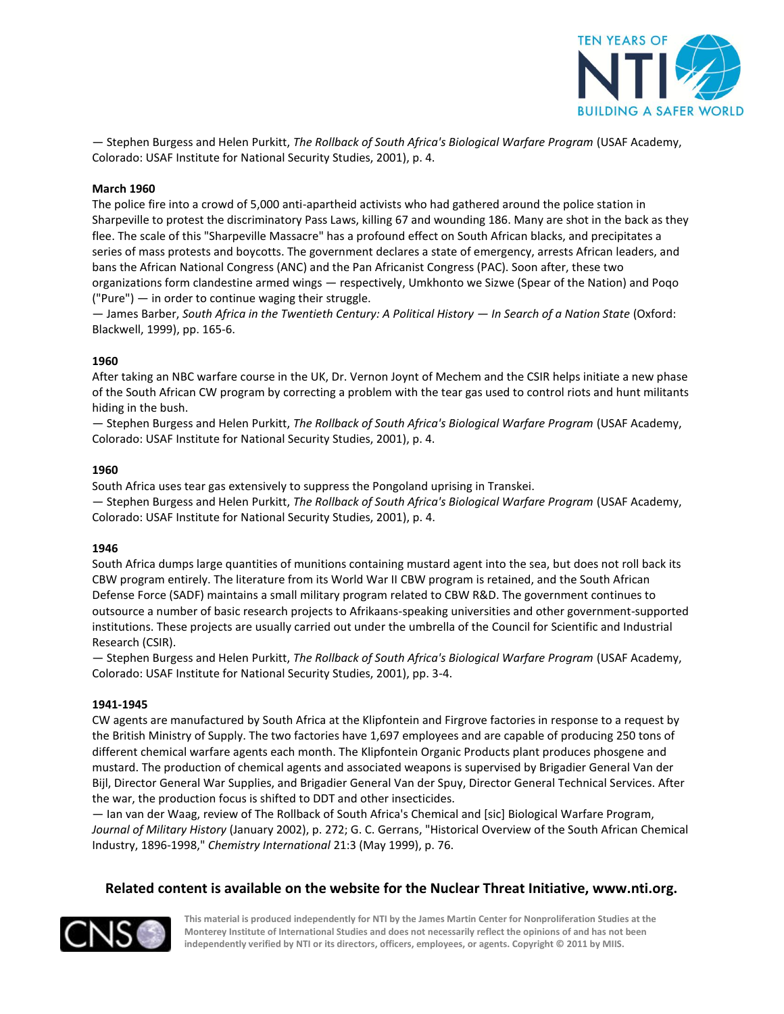

— Stephen Burgess and Helen Purkitt, *The Rollback of South Africa's Biological Warfare Program* (USAF Academy, Colorado: USAF Institute for National Security Studies, 2001), p. 4.

## **March 1960**

The police fire into a crowd of 5,000 anti-apartheid activists who had gathered around the police station in Sharpeville to protest the discriminatory Pass Laws, killing 67 and wounding 186. Many are shot in the back as they flee. The scale of this "Sharpeville Massacre" has a profound effect on South African blacks, and precipitates a series of mass protests and boycotts. The government declares a state of emergency, arrests African leaders, and bans the African National Congress (ANC) and the Pan Africanist Congress (PAC). Soon after, these two organizations form clandestine armed wings — respectively, Umkhonto we Sizwe (Spear of the Nation) and Poqo ("Pure") — in order to continue waging their struggle.

— James Barber, *South Africa in the Twentieth Century: A Political History — In Search of a Nation State* (Oxford: Blackwell, 1999), pp. 165-6.

#### **1960**

After taking an NBC warfare course in the UK, Dr. Vernon Joynt of Mechem and the CSIR helps initiate a new phase of the South African CW program by correcting a problem with the tear gas used to control riots and hunt militants hiding in the bush.

— Stephen Burgess and Helen Purkitt, *The Rollback of South Africa's Biological Warfare Program* (USAF Academy, Colorado: USAF Institute for National Security Studies, 2001), p. 4.

#### **1960**

South Africa uses tear gas extensively to suppress the Pongoland uprising in Transkei.

— Stephen Burgess and Helen Purkitt, *The Rollback of South Africa's Biological Warfare Program* (USAF Academy, Colorado: USAF Institute for National Security Studies, 2001), p. 4.

#### **1946**

South Africa dumps large quantities of munitions containing mustard agent into the sea, but does not roll back its CBW program entirely. The literature from its World War II CBW program is retained, and the South African Defense Force (SADF) maintains a small military program related to CBW R&D. The government continues to outsource a number of basic research projects to Afrikaans-speaking universities and other government-supported institutions. These projects are usually carried out under the umbrella of the Council for Scientific and Industrial Research (CSIR).

— Stephen Burgess and Helen Purkitt, *The Rollback of South Africa's Biological Warfare Program* (USAF Academy, Colorado: USAF Institute for National Security Studies, 2001), pp. 3-4.

#### **1941-1945**

CW agents are manufactured by South Africa at the Klipfontein and Firgrove factories in response to a request by the British Ministry of Supply. The two factories have 1,697 employees and are capable of producing 250 tons of different chemical warfare agents each month. The Klipfontein Organic Products plant produces phosgene and mustard. The production of chemical agents and associated weapons is supervised by Brigadier General Van der Bijl, Director General War Supplies, and Brigadier General Van der Spuy, Director General Technical Services. After the war, the production focus is shifted to DDT and other insecticides.

— Ian van der Waag, review of The Rollback of South Africa's Chemical and [sic] Biological Warfare Program, *Journal of Military History* (January 2002), p. 272; G. C. Gerrans, "Historical Overview of the South African Chemical Industry, 1896-1998," *Chemistry International* 21:3 (May 1999), p. 76.

## **Related content is available on the website for the Nuclear Threat Initiative, www.nti.org.**